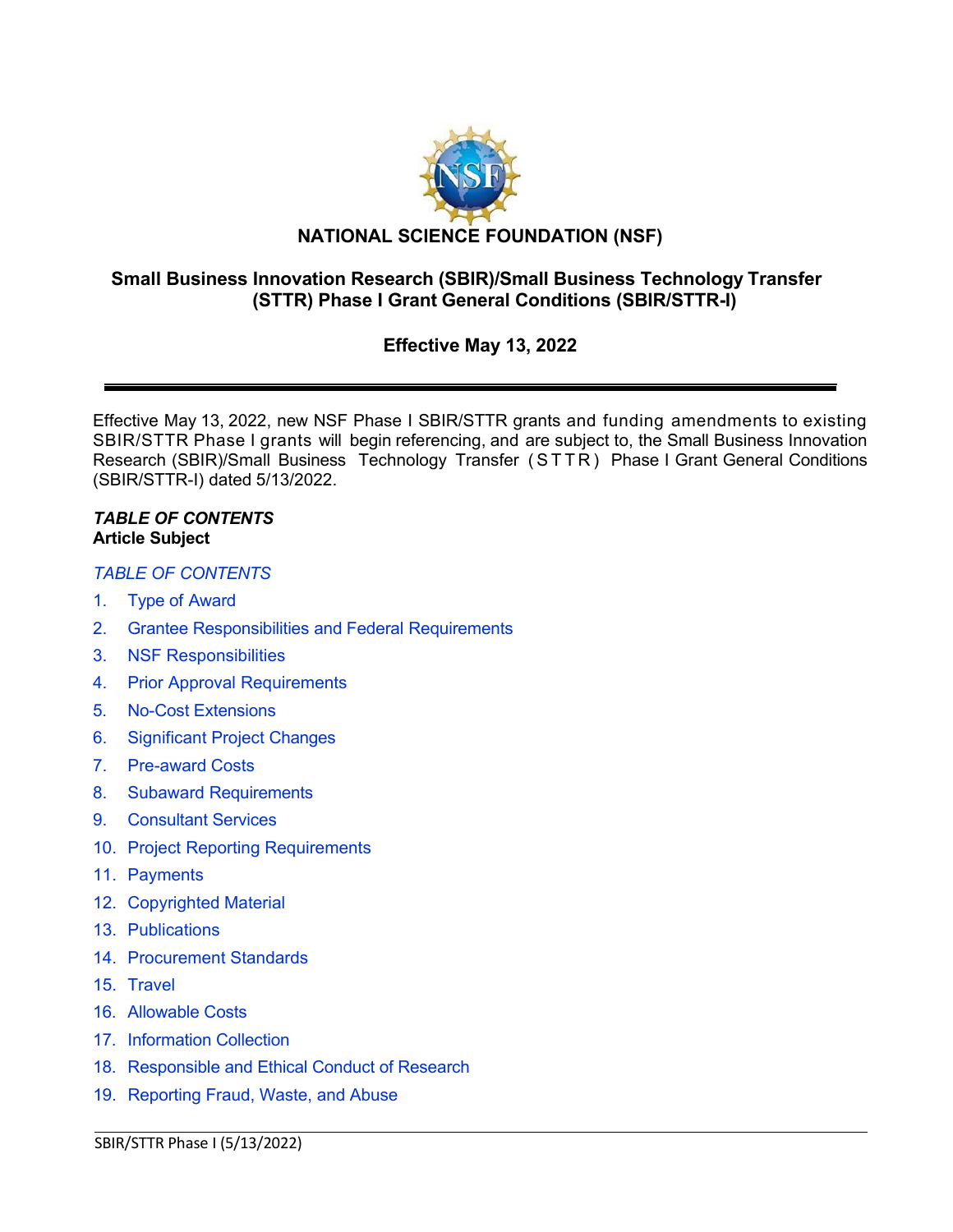

# **Small Business Innovation Research (SBIR)/Small Business Technology Transfer (STTR) Phase I Grant General Conditions (SBIR/STTR-I)**

# **Effective May 13, 2022**

Effective May 13, 2022, new NSF Phase I SBIR/STTR grants and funding amendments to existing SBIR/STTR Phase I grants will begin referencing, and are subject to, the Small Business Innovation Research (SBIR)/Small Business Technology Transfer (STTR ) Phase I Grant General Conditions (SBIR/STTR-I) dated 5/13/2022.

#### <span id="page-0-0"></span>*TABLE OF CONTENTS* **Article Subject**

# *TABLE [OF CONTENTS](#page-0-0)*

- 1. Type of [Award](#page-2-0)
- 2. [Grantee Responsibilities](#page-2-1) and Federal Requirements
- 3. [NSF Responsibilities](#page-3-0)
- 4. Prior Approval [Requirements](#page-3-1)
- 5. [No-Cost Extensions](#page-4-0)
- 6. [Significant](#page-4-1) Project Changes
- 7. [Pre-award](#page-5-0) Costs
- 8. [Subaward Requirements](#page-5-1)
- 9. [Consultant](#page-5-2) Services
- 10. Project [Reporting Requirements](#page-6-0)
- 11. [Payments](#page-6-1)
- 12. [Copyrighted](#page-7-0) Material
- 13. [Publications](#page-8-0)
- 14. [Procurement Standards](#page-8-1)
- 15. [Travel](#page-8-2)
- 16. [Allowable Costs](#page-9-0)
- 17. [Information Collection](#page-10-0)
- 18. [Responsible and Ethical Conduct of Research](#page-10-1)
- 19. [Reporting Fraud, Waste, and Abuse](#page-10-2)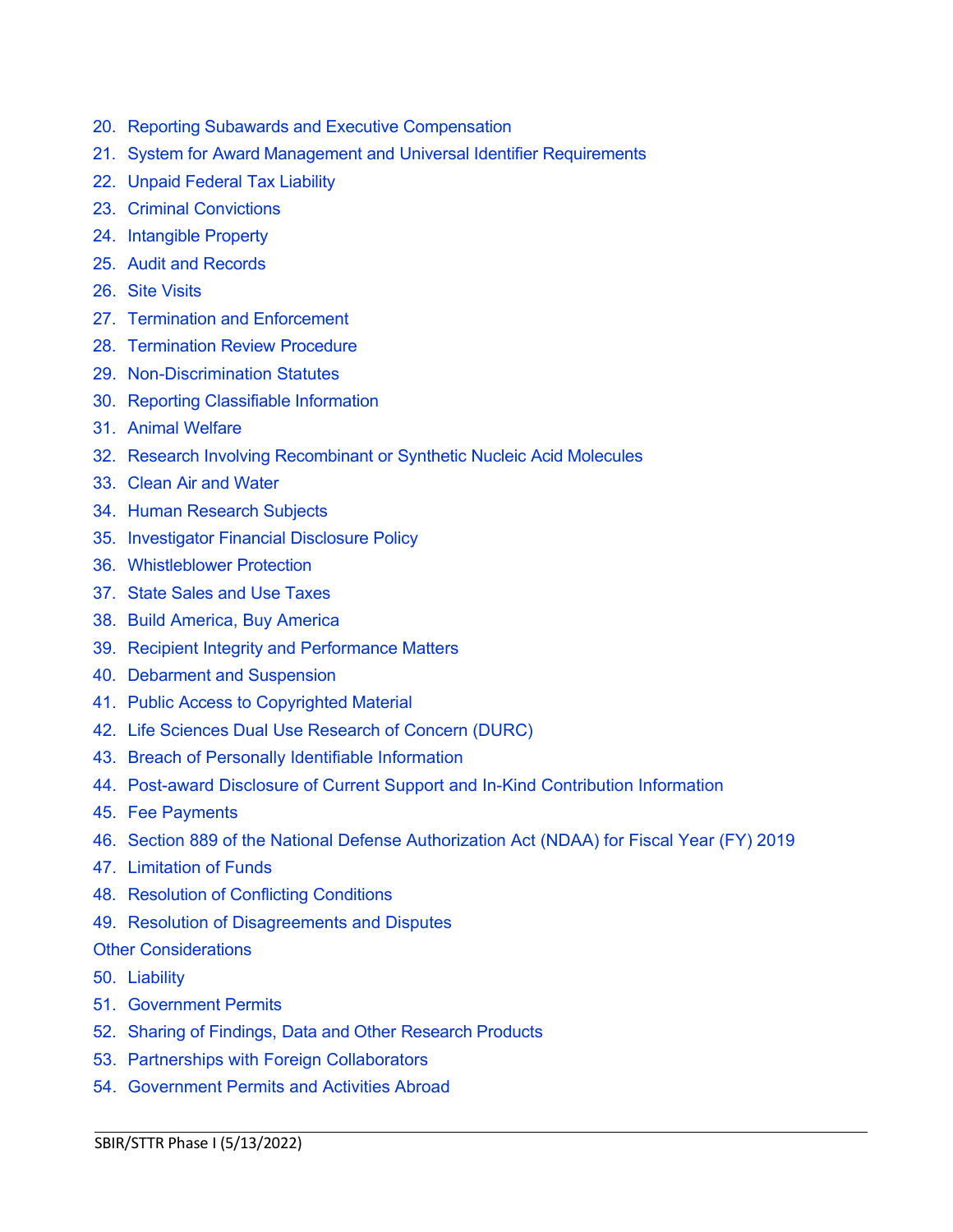- 20. Reporting Subawards [and Executive Compensation](#page-11-0)
- 21. System for Award Management and Universal Identifier [Requirements](#page-14-0)
- 22. [Unpaid Federal](#page-15-0) Tax Liability
- 23. Criminal [Convictions](#page-15-1)
- 24. [Intangible Property](#page-16-0)
- 25. Audit [and Records](#page-21-0)
- 26. Site [Visits](#page-21-1)
- 27. [Termination and Enforcement](#page-21-2)
- 28. [Termination Review](#page-22-0) Procedure
- 29. [Non-Discrimination Statutes](#page-23-0)
- 30. [Reporting Classifiable](#page-23-1) Information
- 31. Animal [Welfare](#page-23-2)
- 32. [Research Involving Recombinant](#page-24-0) or Synthetic Nucleic Acid Molecules
- 33. Clean Air [and Water](#page-24-1)
- 34. Human [Research](#page-24-2) Subjects
- 35. [Investigator](#page-24-3) Financial Disclosure Policy
- 36. [Whistleblower](#page-25-0) Protection
- 37. [State Sales and Use Taxes](#page-25-1)
- 38. [Build America, Buy](#page-25-2) America
- 39. [Recipient Integrity](#page-25-3) and Performance Matters
- 40. Debarment [and Suspension](#page-25-4)
- 41. Public Access [to Copyrighted](#page-26-0) Material
- 42. Life Sciences Dual Use [Research](#page-26-1) of Concern (DURC)
- 43. [Breach of Personally Identifiable Information](#page-26-2)
- 44. [Post-award Disclosure of Current Support and In-Kind Contribution Information](#page-26-3)
- 45. [Fee Payments](#page-28-0)
- 46. [Section 889 of the National Defense Authorization Act \(NDAA\) for Fiscal Year \(FY\) 2019](#page-28-1)

- 47. [Limitation of Funds](#page-29-0)
- 48. [Resolution of](#page-29-1) Conflicting Conditions
- 49. [Resolution of Disagreements and Disputes](#page-29-2)

#### Other [Considerations](#page-29-3)

- 50. [Liability](#page-29-4)
- 51. [Government](#page-29-5) Permits
- 52. Sharing of Findings, Data and Other [Research](#page-29-6) Products
- 53. [Partnerships with Foreign Collaborators](#page-30-0)
- 54. [Government Permits and Activities Abroad](#page-30-1)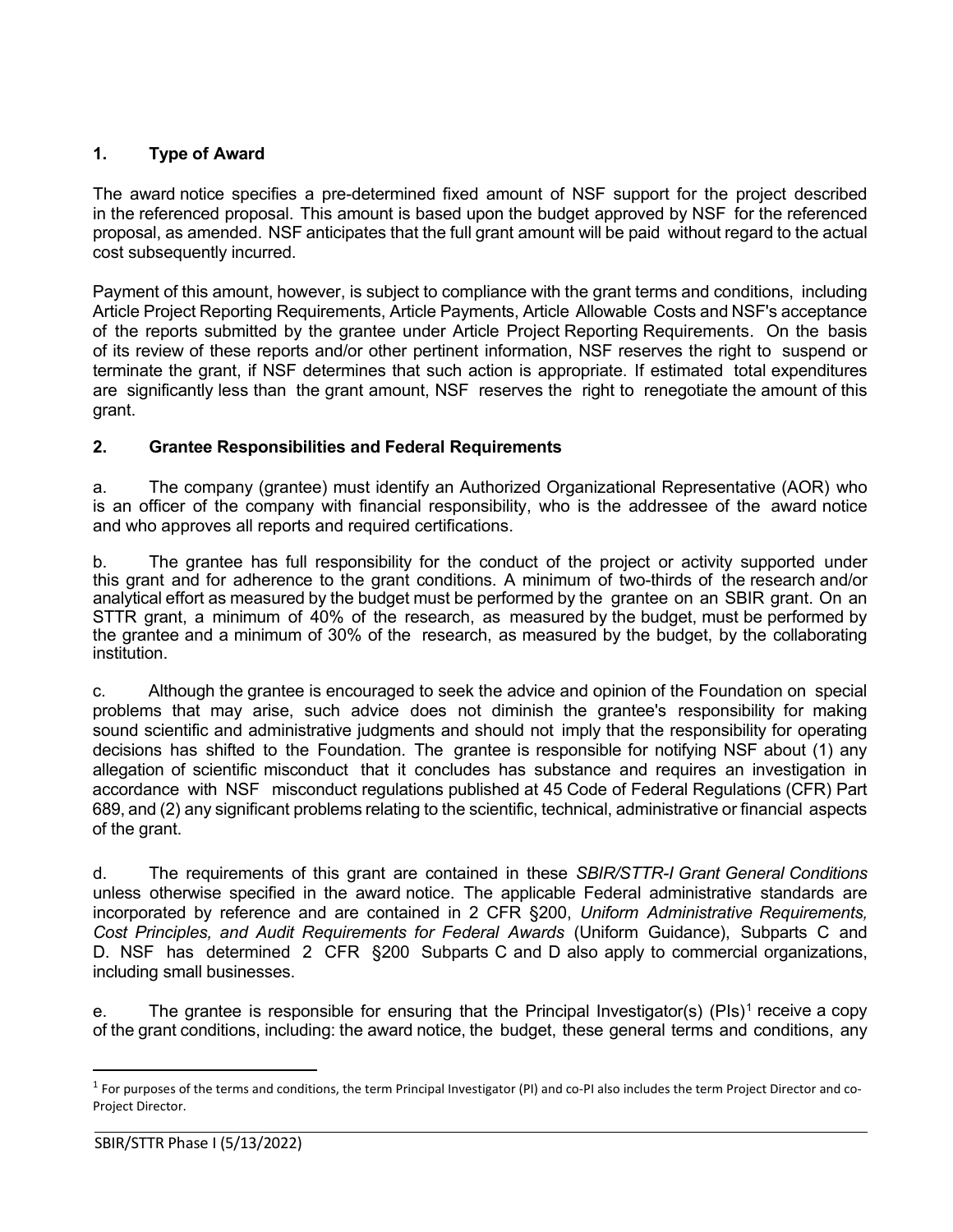# <span id="page-2-0"></span>**1. Type of Award**

The award notice specifies a pre-determined fixed amount of NSF support for the project described in the referenced proposal. This amount is based upon the budget approved by NSF for the referenced proposal, as amended. NSF anticipates that the full grant amount will be paid without regard to the actual cost subsequently incurred.

Payment of this amount, however, is subject to compliance with the grant terms and conditions, including Article Project Reporting Requirements, Article Payments, Article Allowable Costs and NSF's acceptance of the reports submitted by the grantee under Article Project Reporting Requirements. On the basis of its review of these reports and/or other pertinent information, NSF reserves the right to suspend or terminate the grant, if NSF determines that such action is appropriate. If estimated total expenditures are significantly less than the grant amount, NSF reserves the right to renegotiate the amount of this grant.

# <span id="page-2-1"></span>**2. Grantee Responsibilities and Federal Requirements**

a. The company (grantee) must identify an Authorized Organizational Representative (AOR) who is an officer of the company with financial responsibility, who is the addressee of the award notice and who approves all reports and required certifications.

b. The grantee has full responsibility for the conduct of the project or activity supported under this grant and for adherence to the grant conditions. A minimum of two-thirds of the research and/or analytical effort as measured by the budget must be performed by the grantee on an SBIR grant. On an STTR grant, a minimum of 40% of the research, as measured by the budget, must be performed by the grantee and a minimum of 30% of the research, as measured by the budget, by the collaborating institution.

c. Although the grantee is encouraged to seek the advice and opinion of the Foundation on special problems that may arise, such advice does not diminish the grantee's responsibility for making sound scientific and administrative judgments and should not imply that the responsibility for operating decisions has shifted to the Foundation. The grantee is responsible for notifying NSF about (1) any allegation of scientific misconduct that it concludes has substance and requires an investigation in accordance with NSF misconduct regulations published at 45 Code of Federal Regulations (CFR) Part 689, and (2) any significant problems relating to the scientific, technical, administrative or financial aspects of the grant.

d. The requirements of this grant are contained in these *SBIR/STTR-I Grant General Conditions* unless otherwise specified in the award notice. The applicable Federal administrative standards are incorporated by reference and are contained in 2 CFR [§200,](http://www.ecfr.gov/cgi-bin/text-idx?SID=704835d27377ef5213a51c149de40cab&amp%3Bnode=2%3A1.1.2.2.1&amp%3Brgn=div5) *Uniform Administrative Requirements, Cost Principles, and Audit Requirements for Federal Awards* (Uniform Guidance), Subparts C and D. NSF has determined 2 CFR §200 Subparts C and D also apply to commercial organizations, including small businesses.

e. The grantee is responsible for ensuring that the Principal Investigator(s) (PIs)<sup>[1](#page-2-2)</sup> receive a copy of the grant conditions, including: the award notice, the budget, these general terms and conditions, any

<span id="page-2-2"></span><sup>&</sup>lt;sup>1</sup> For purposes of the terms and conditions, the term Principal Investigator (PI) and co-PI also includes the term Project Director and co-Project Director.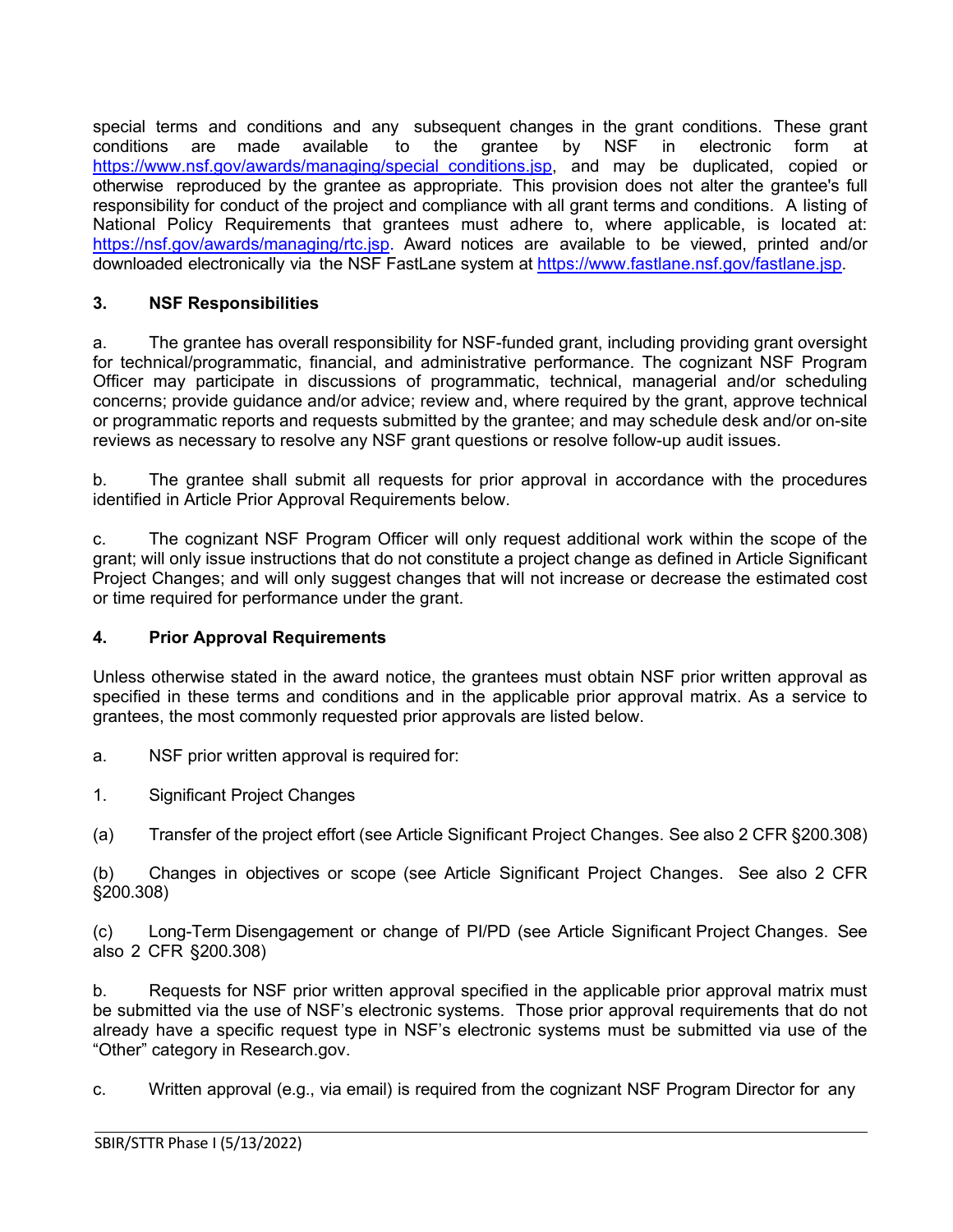special terms and conditions and any subsequent changes in the grant conditions. These grant<br>conditions are made available to the grantee by NSF in electronic form at conditions are made available to the grantee by NSF in electronic form at https://www.nsf.gov/awards/managing/special conditions.jsp, and may be duplicated, copied or otherwise reproduced by the grantee as appropriate. This provision does not alter the grantee's full responsibility for conduct of the project and compliance with all grant terms and conditions. A listing of National Policy Requirements that grantees must adhere to, where applicable, is located at: [https://nsf.gov/awards/managing/rtc.jsp.](https://nsf.gov/awards/managing/rtc.jsp) Award notices are available to be viewed, printed and/or downloaded electronically via the NSF FastLane system at [https://www.fastlane.nsf.gov/fastlane.jsp.](https://www.fastlane.nsf.gov/fastlane.jsp)

# <span id="page-3-0"></span>**3. NSF Responsibilities**

a. The grantee has overall responsibility for NSF-funded grant, including providing grant oversight for technical/programmatic, financial, and administrative performance. The cognizant NSF Program Officer may participate in discussions of programmatic, technical, managerial and/or scheduling concerns; provide guidance and/or advice; review and, where required by the grant, approve technical or programmatic reports and requests submitted by the grantee; and may schedule desk and/or on-site reviews as necessary to resolve any NSF grant questions or resolve follow-up audit issues.

b. The grantee shall submit all requests for prior approval in accordance with the procedures identified in Article Prior Approval Requirements below.

c. The cognizant NSF Program Officer will only request additional work within the scope of the grant; will only issue instructions that do not constitute a project change as defined in Article Significant Project Changes; and will only suggest changes that will not increase or decrease the estimated cost or time required for performance under the grant.

# <span id="page-3-1"></span>**4. Prior Approval Requirements**

Unless otherwise stated in the award notice, the grantees must obtain NSF prior written approval as specified in these terms and conditions and in the applicable prior approval matrix. As a service to grantees, the most commonly requested prior approvals are listed below.

- a. NSF prior written approval is required for:
- 1. Significant Project Changes
- (a) Transfer of the project effort (see Article Significant Project Changes. See also 2 CFR §200.308)

(b) Changes in objectives or scope (see Article Significant Project Changes. See also 2 CFR §200.308)

(c) Long-Term Disengagement or change of PI/PD (see Article Significant Project Changes. See also 2 CFR §200.308)

b. Requests for NSF prior written approval specified in the applicable prior approval matrix must be submitted via the use of NSF's electronic systems. Those prior approval requirements that do not already have a specific request type in NSF's electronic systems must be submitted via use of the "Other" category in Research.gov.

c. Written approval (e.g., via email) is required from the cognizant NSF Program Director for any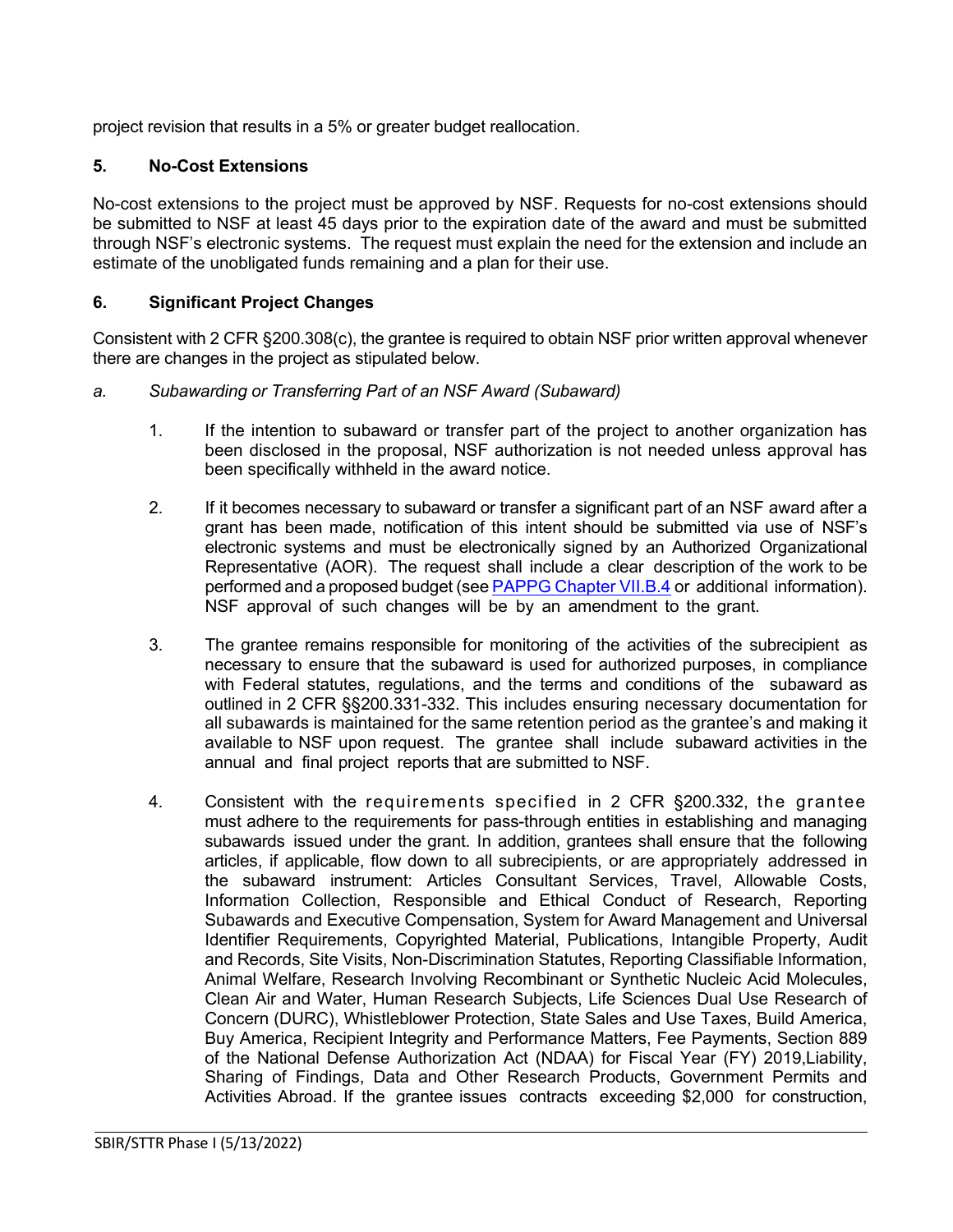project revision that results in a 5% or greater budget reallocation.

# <span id="page-4-0"></span>**5. No-Cost Extensions**

No-cost extensions to the project must be approved by NSF. Requests for no-cost extensions should be submitted to NSF at least 45 days prior to the expiration date of the award and must be submitted through NSF's electronic systems. The request must explain the need for the extension and include an estimate of the unobligated funds remaining and a plan for their use.

# <span id="page-4-1"></span>**6. Significant Project Changes**

Consistent with 2 CFR §200.308(c), the grantee is required to obtain NSF prior written approval whenever there are changes in the project as stipulated below.

#### *a. Subawarding or Transferring Part of an NSF Award (Subaward)*

- 1. If the intention to subaward or transfer part of the project to another organization has been disclosed in the proposal, NSF authorization is not needed unless approval has been specifically withheld in the award notice.
- 2. If it becomes necessary to subaward or transfer a significant part of an NSF award after a grant has been made, notification of this intent should be submitted via use of NSF's electronic systems and must be electronically signed by an Authorized Organizational Representative (AOR). The request shall include a clear description of the work to be performed and a proposed budget (see **[PAPPG Chapter VII.B.4](https://www.nsf.gov/pubs/policydocs/pappg22_1/pappg_7.jsp#VIIB4)** or additional information). NSF approval of such changes will be by an amendment to the grant.
- 3. The grantee remains responsible for monitoring of the activities of the subrecipient as necessary to ensure that the subaward is used for authorized purposes, in compliance with Federal statutes, regulations, and the terms and conditions of the subaward as outlined in 2 CFR §§200.331-332. This includes ensuring necessary documentation for all subawards is maintained for the same retention period as the grantee's and making it available to NSF upon request. The grantee shall include subaward activities in the annual and final project reports that are submitted to NSF.
- 4. Consistent with the requirements specified in 2 CFR §200.332, the grantee must adhere to the requirements for pass-through entities in establishing and managing subawards issued under the grant. In addition, grantees shall ensure that the following articles, if applicable, flow down to all subrecipients, or are appropriately addressed in the subaward instrument: Articles Consultant Services, Travel, Allowable Costs, Information Collection, Responsible and Ethical Conduct of Research, Reporting Subawards and Executive Compensation, System for Award Management and Universal Identifier Requirements, Copyrighted Material, Publications, Intangible Property, Audit and Records, Site Visits, Non-Discrimination Statutes, Reporting Classifiable Information, Animal Welfare, Research Involving Recombinant or Synthetic Nucleic Acid Molecules, Clean Air and Water, Human Research Subjects, Life Sciences Dual Use Research of Concern (DURC), Whistleblower Protection, State Sales and Use Taxes, Build America, Buy America, Recipient Integrity and Performance Matters, Fee Payments, Section 889 of the National Defense Authorization Act (NDAA) for Fiscal Year (FY) 2019,Liability, Sharing of Findings, Data and Other Research Products, Government Permits and Activities Abroad. If the grantee issues contracts exceeding \$2,000 for construction,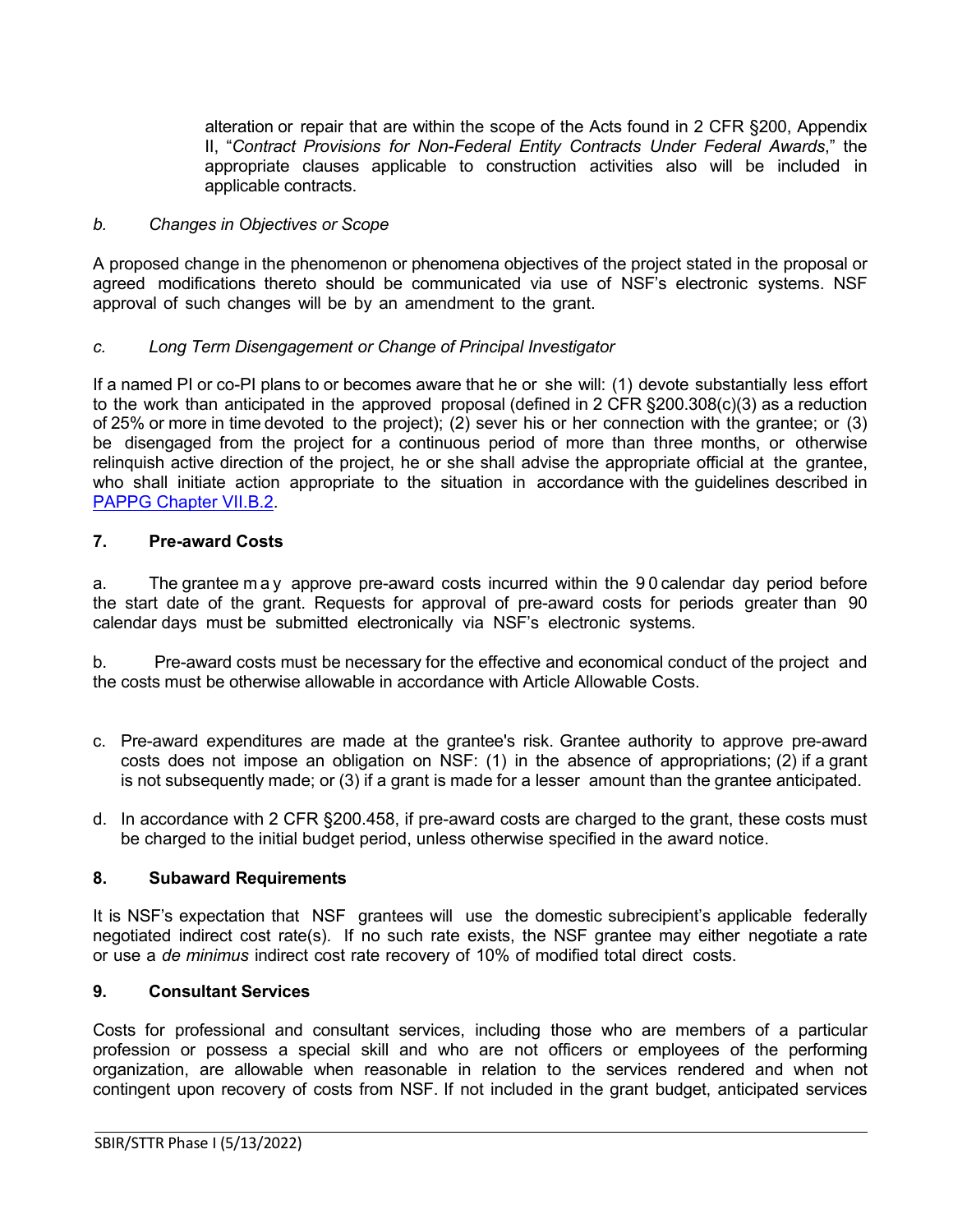alteration or repair that are within the scope of the Acts found in 2 [CFR §200,](http://www.access.gpo.gov/nara/cfr/waisidx_07/2cfr215_07.html) Appendix [II,](http://www.access.gpo.gov/nara/cfr/waisidx_07/2cfr215_07.html) "*[Contract](http://www.access.gpo.gov/nara/cfr/waisidx_07/2cfr215_07.html) [Provisions](http://www.access.gpo.gov/nara/cfr/waisidx_07/2cfr215_07.html) for Non-Federal Entity Contracts Under Federal Awards*," the appropriate clauses applicable to construction activities also will be included in applicable contracts.

#### *b. Changes in Objectives or Scope*

A proposed change in the phenomenon or phenomena objectives of the project stated in the proposal or agreed modifications thereto should be communicated via use of NSF's electronic systems. NSF approval of such changes will be by an amendment to the grant.

### *c. Long Term Disengagement or Change of Principal Investigator*

If a named PI or co-PI plans to or becomes aware that he or she will: (1) devote substantially less effort to the work than anticipated in the approved proposal (defined in 2 CFR §200.308(c)(3) as a reduction of 25% or more in time devoted to the project); (2) sever his or her connection with the grantee; or (3) be disengaged from the project for a continuous period of more than three months, or otherwise relinquish active direction of the project, he or she shall advise the appropriate official at the grantee, who shall initiate action appropriate to the situation in accordance with the guidelines described in [PAPPG Chapter VII.B.2.](https://www.nsf.gov/pubs/policydocs/pappg22_1/pappg_7.jsp#VIIB2)

#### <span id="page-5-0"></span>**7. Pre-award Costs**

a. The grantee may approve pre-award costs incurred within the 9 0 calendar day period before the start date of the grant. Requests for approval of pre-award costs for periods greater than 90 calendar days must be submitted electronically via NSF's electronic systems.

b. Pre-award costs must be necessary for the effective and economical conduct of the project and the costs must be otherwise allowable in accordance with Article Allowable Costs.

- c. Pre-award expenditures are made at the grantee's risk. Grantee authority to approve pre-award costs does not impose an obligation on NSF: (1) in the absence of appropriations; (2) if a grant is not subsequently made; or (3) if a grant is made for a lesser amount than the grantee anticipated.
- d. In accordance with 2 CFR §200.458, if pre-award costs are charged to the grant, these costs must be charged to the initial budget period, unless otherwise specified in the award notice.

#### <span id="page-5-1"></span>**8. Subaward Requirements**

It is NSF's expectation that NSF grantees will use the domestic subrecipient's applicable federally negotiated indirect cost rate(s). If no such rate exists, the NSF grantee may either negotiate a rate or use a *de minimus* indirect cost rate recovery of 10% of modified total direct costs.

### <span id="page-5-2"></span>**9. Consultant Services**

Costs for professional and consultant services, including those who are members of a particular profession or possess a special skill and who are not officers or employees of the performing organization, are allowable when reasonable in relation to the services rendered and when not contingent upon recovery of costs from NSF. If not included in the grant budget, anticipated services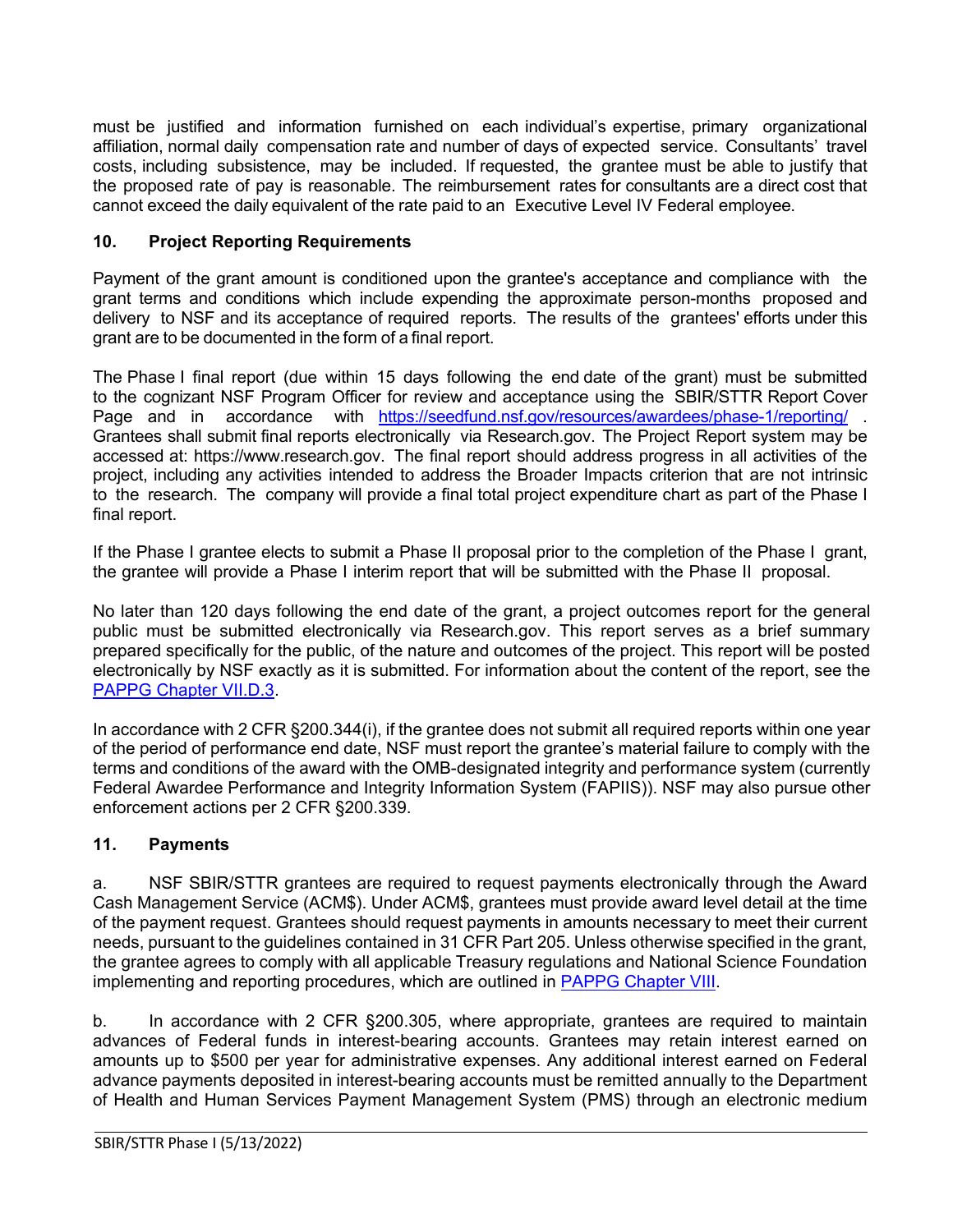must be justified and information furnished on each individual's expertise, primary organizational affiliation, normal daily compensation rate and number of days of expected service. Consultants' travel costs, including subsistence, may be included. If requested, the grantee must be able to justify that the proposed rate of pay is reasonable. The reimbursement rates for consultants are a direct cost that cannot exceed the daily equivalent of the rate paid to an Executive Level IV Federal employee.

# <span id="page-6-0"></span>**10. Project Reporting Requirements**

Payment of the grant amount is conditioned upon the grantee's acceptance and compliance with the grant terms and conditions which include expending the approximate person-months proposed and delivery to NSF and its acceptance of required reports. The results of the grantees' efforts under this grant are to be documented in the form of a final report.

The Phase I final report (due within 15 days following the end date of the grant) must be submitted to the cognizant NSF Program Officer for review and acceptance using the SBIR/STTR Report Cover Page and in accordance with <https://seedfund.nsf.gov/resources/awardees/phase-1/reporting/>. Grantees shall submit final reports electronically via [Research.gov.](http://www.research.gov/) The Project Report system may be accessed at: https://www.research.gov. The final report should address progress in all activities of the project, including any activities intended to address the Broader Impacts criterion that are not intrinsic to the research. The company will provide a final total project expenditure chart as part of the Phase I final report.

If the Phase I grantee elects to submit a Phase II proposal prior to the completion of the Phase I grant, the grantee will provide a Phase I interim report that will be submitted with the Phase II proposal.

No later than 120 days following the end date of the grant, a project outcomes report for the general public must be submitted electronically via Research.gov. This report serves as a brief summary prepared specifically for the public, of the nature and outcomes of the project. This report will be posted electronically by NSF exactly as it is submitted. For information about the content of the report, see the [PAPPG Chapter VII.D.3.](https://www.nsf.gov/pubs/policydocs/pappg22_1/pappg_7.jsp#VIID3)

In accordance with 2 CFR §200.344(i), if the grantee does not submit all required reports within one year of the period of performance end date, NSF must report the grantee's material failure to comply with the terms and conditions of the award with the OMB-designated integrity and performance system (currently Federal Awardee Performance and Integrity Information System (FAPIIS)). NSF may also pursue other enforcement actions per 2 CFR §200.339.

# <span id="page-6-1"></span>**11. Payments**

a. NSF SBIR/STTR grantees are required to request payments electronically through the Award Cash Management Service (ACM\$). Under ACM\$, grantees must provide award level detail at the time of the payment request. Grantees should request payments in amounts necessary to meet their current needs, pursuant to the guidelines contained in 31 CFR Part 205. Unless otherwise specified in the grant, the grantee agrees to comply with all applicable Treasury regulations and National Science Foundation implementing and reporting procedures, which are outlined in [PAPPG Chapter VIII.](https://www.nsf.gov/pubs/policydocs/pappg22_1/pappg_8.jsp)

b. In accordance with 2 CFR §200.305, where appropriate, grantees are required to maintain advances of Federal funds in interest-bearing accounts. Grantees may retain interest earned on amounts up to \$500 per year for administrative expenses. Any additional interest earned on Federal advance payments deposited in interest-bearing accounts must be remitted annually to the Department of Health and Human Services Payment Management System (PMS) through an electronic medium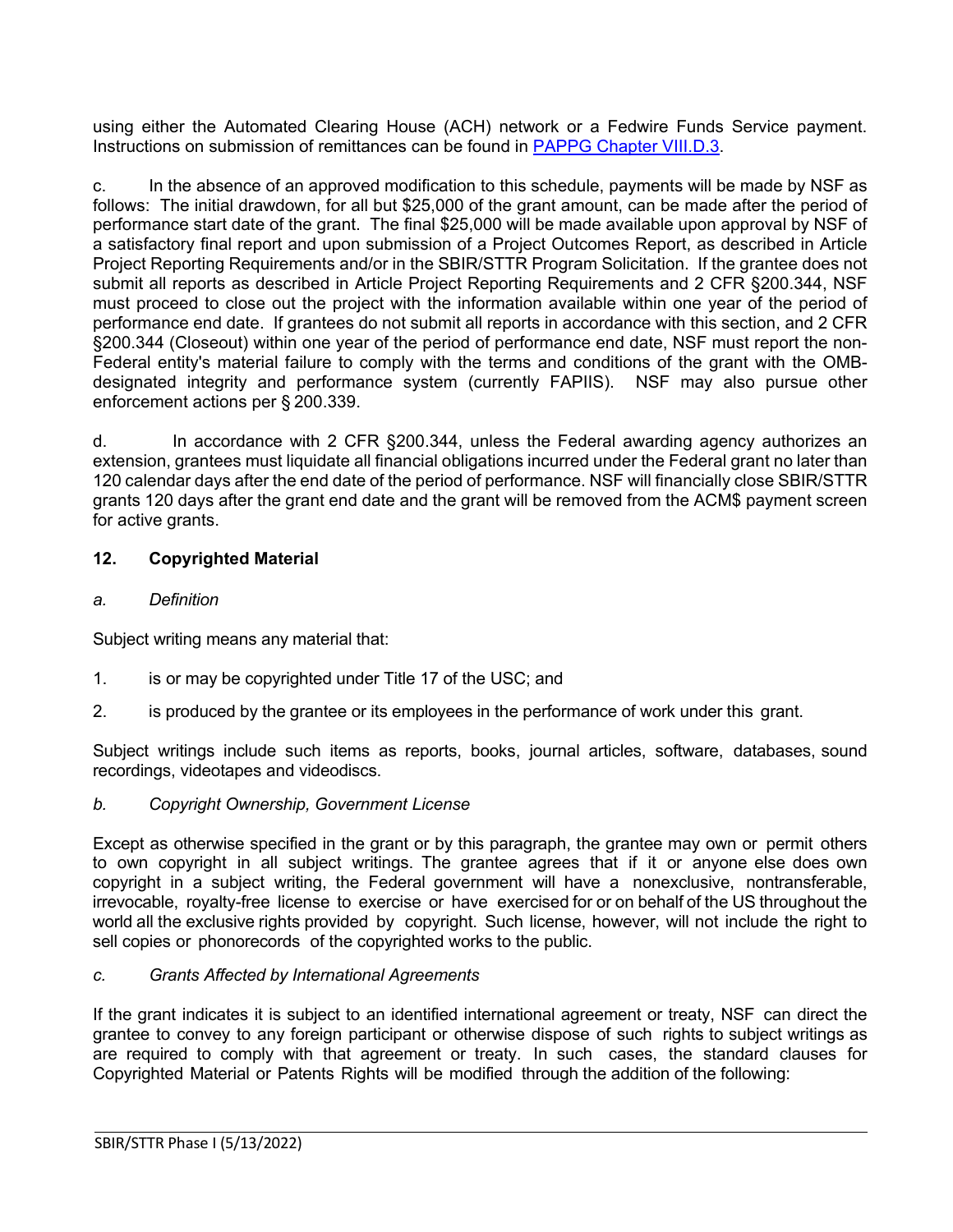using either the Automated Clearing House (ACH) network or a Fedwire Funds Service payment. Instructions on submission of remittances can be found in [PAPPG Chapter VIII.D.3.](https://www.nsf.gov/pubs/policydocs/pappg22_1/pappg_8.jsp#VIIID3)

c. In the absence of an approved modification to this schedule, payments will be made by NSF as follows: The initial drawdown, for all but \$25,000 of the grant amount, can be made after the period of performance start date of the grant. The final \$25,000 will be made available upon approval by NSF of a satisfactory final report and upon submission of a Project Outcomes Report, as described in Article Project Reporting Requirements and/or in the SBIR/STTR Program Solicitation. If the grantee does not submit all reports as described in Article Project Reporting Requirements and 2 CFR §200.344, NSF must proceed to close out the project with the information available within one year of the period of performance end date. If grantees do not submit all reports in accordance with this section, and 2 CFR §200.344 (Closeout) within one year of the period of performance end date, NSF must report the non-Federal entity's material failure to comply with the terms and conditions of the grant with the OMBdesignated integrity and performance system (currently FAPIIS). NSF may also pursue other enforcement actions per § 200.339.

d. In accordance with 2 CFR §200.344, unless the Federal awarding agency authorizes an extension, grantees must liquidate all financial obligations incurred under the Federal grant no later than 120 calendar days after the end date of the period of performance. NSF will financially close SBIR/STTR grants 120 days after the grant end date and the grant will be removed from the ACM\$ payment screen for active grants.

# <span id="page-7-0"></span>**12. Copyrighted Material**

### *a. Definition*

Subject writing means any material that:

- 1. is or may be copyrighted under [Title 17](http://www.access.gpo.gov/uscode/title17/title17.html) of the USC; and
- 2. is produced by the grantee or its employees in the performance of work under this grant.

Subject writings include such items as reports, books, journal articles, software, databases, sound recordings, videotapes and videodiscs.

### *b. Copyright Ownership, Government License*

Except as otherwise specified in the grant or by this paragraph, the grantee may own or permit others to own copyright in all subject writings. The grantee agrees that if it or anyone else does own copyright in a subject writing, the Federal government will have a nonexclusive, nontransferable, irrevocable, royalty-free license to exercise or have exercised for or on behalf of the US throughout the world all the exclusive rights provided by copyright. Such license, however, will not include the right to sell copies or phonorecords of the copyrighted works to the public.

### *c. Grants Affected by International Agreements*

If the grant indicates it is subject to an identified international agreement or treaty, NSF can direct the grantee to convey to any foreign participant or otherwise dispose of such rights to subject writings as are required to comply with that agreement or treaty. In such cases, the standard clauses for Copyrighted Material or Patents Rights will be modified through the addition of the following: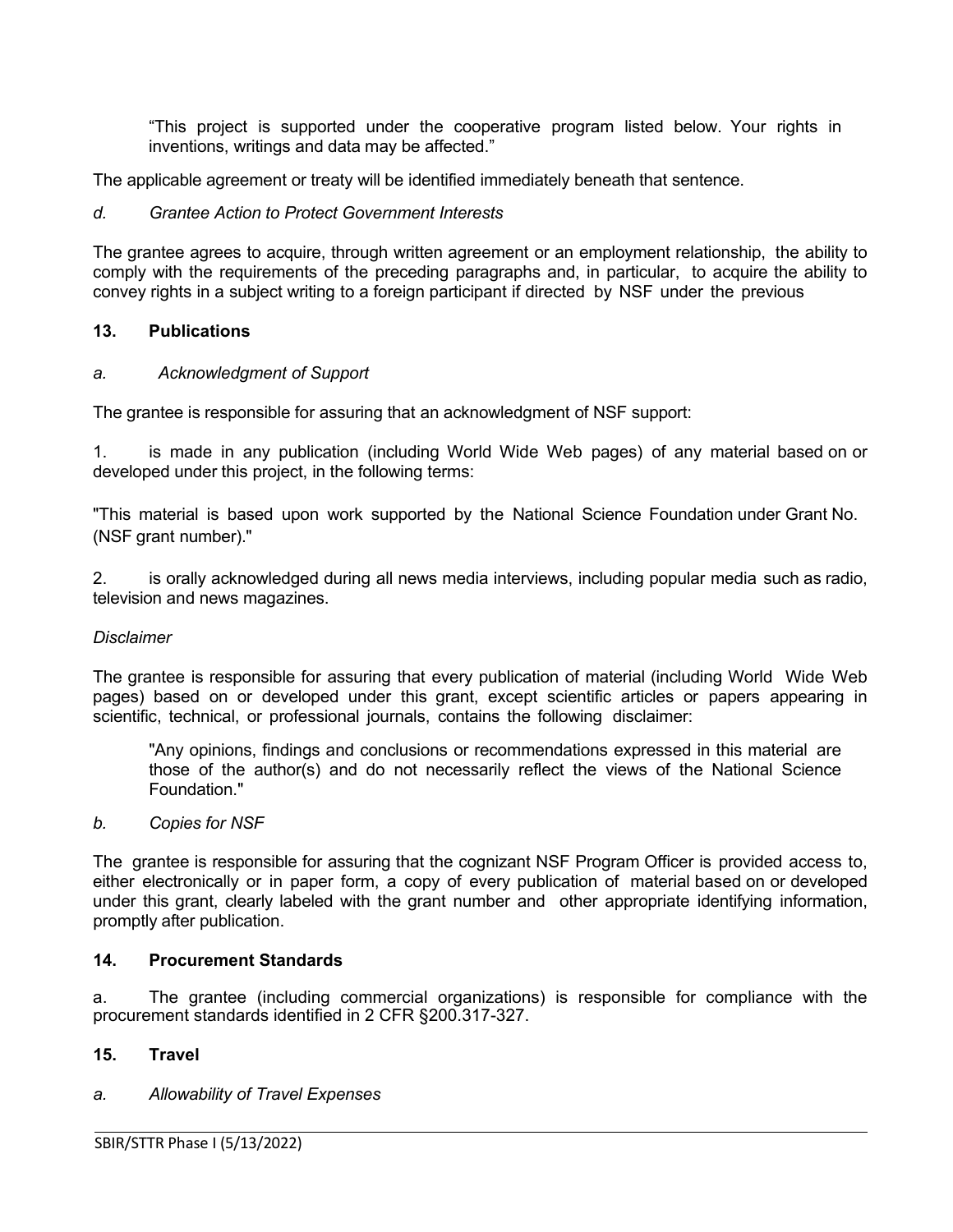"This project is supported under the cooperative program listed below. Your rights in inventions, writings and data may be affected."

The applicable agreement or treaty will be identified immediately beneath that sentence.

#### *d. Grantee Action to Protect Government Interests*

The grantee agrees to acquire, through written agreement or an employment relationship, the ability to comply with the requirements of the preceding paragraphs and, in particular, to acquire the ability to convey rights in a subject writing to a foreign participant if directed by NSF under the previous

#### <span id="page-8-0"></span>**13. Publications**

#### *a. Acknowledgment of Support*

The grantee is responsible for assuring that an acknowledgment of NSF support:

1. is made in any publication (including World Wide Web pages) of any material based on or developed under this project, in the following terms:

"This material is based upon work supported by the National Science Foundation under Grant No. (NSF grant number)."

2. is orally acknowledged during all news media interviews, including popular media such as radio, television and news magazines.

#### *Disclaimer*

The grantee is responsible for assuring that every publication of material (including World Wide Web pages) based on or developed under this grant, except scientific articles or papers appearing in scientific, technical, or professional journals, contains the following disclaimer:

"Any opinions, findings and conclusions or recommendations expressed in this material are those of the author(s) and do not necessarily reflect the views of the National Science Foundation."

#### *b. Copies for NSF*

The grantee is responsible for assuring that the cognizant NSF Program Officer is provided access to, either electronically or in paper form, a copy of every publication of material based on or developed under this grant, clearly labeled with the grant number and other appropriate identifying information, promptly after publication.

### <span id="page-8-1"></span>**14. Procurement Standards**

a. The grantee (including commercial organizations) is responsible for compliance with the procurement standards identified in 2 CFR §200.317-327.

#### <span id="page-8-2"></span>**15. Travel**

### *a. Allowability of Travel Expenses*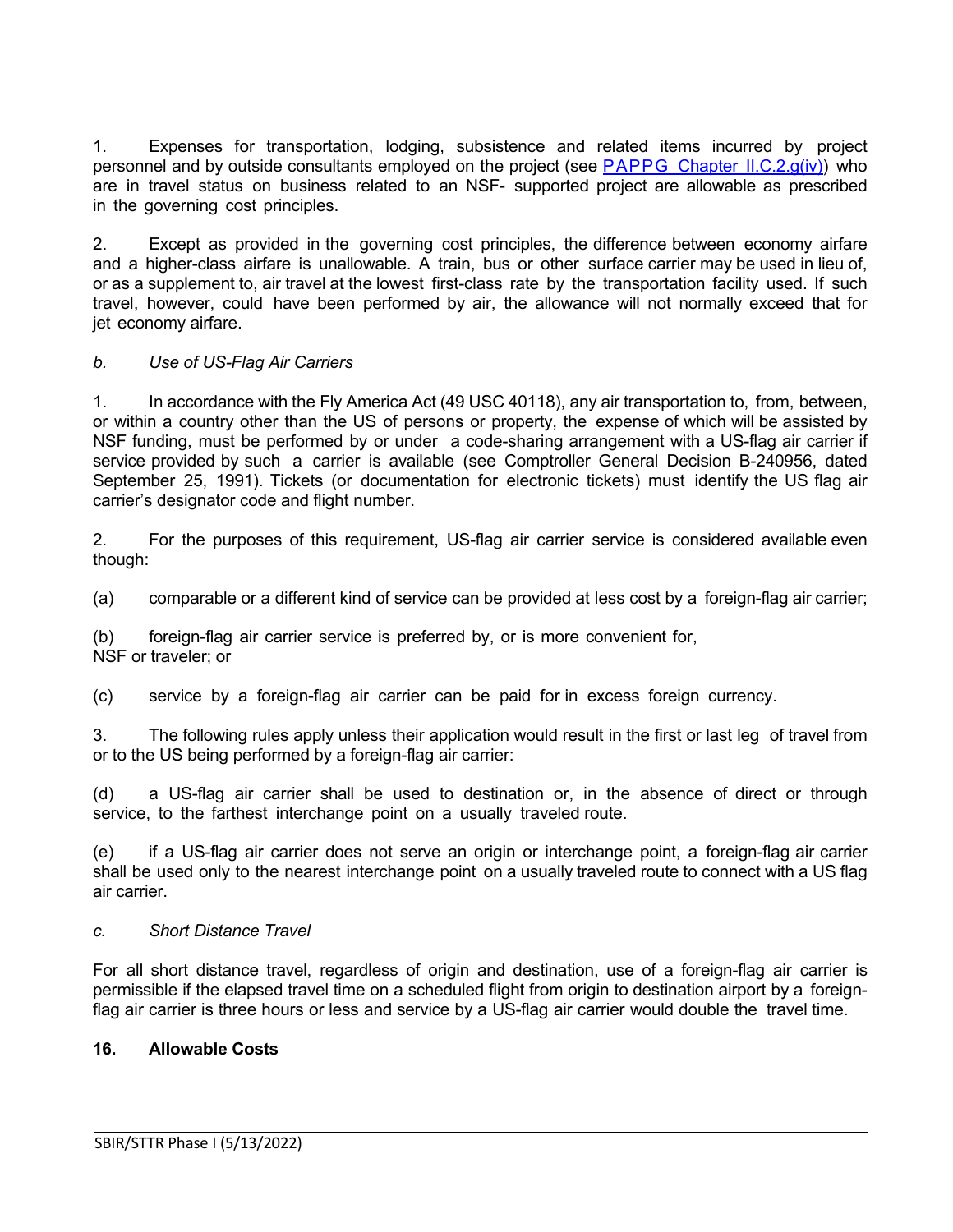1. Expenses for transportation, lodging, subsistence and related items incurred by project personnel and by outside consultants employed on the project (see PAPPG Chapter [II.C.2.g\(iv\)\)](https://www.nsf.gov/pubs/policydocs/pappg22_1/pappg_2.jsp#IIC2giv) who are in travel status on business related to an NSF- supported project are allowable as prescribed in the governing cost principles.

2. Except as provided in the governing cost principles, the difference between economy airfare and a higher-class airfare is unallowable. A train, bus or other surface carrier may be used in lieu of, or as a supplement to, air travel at the lowest first-class rate by the transportation facility used. If such travel, however, could have been performed by air, the allowance will not normally exceed that for jet economy airfare.

# *b. Use of US-Flag Air Carriers*

1. In accordance with the Fly America Act (49 USC 40118), any air transportation to, from, between, or within a country other than the US of persons or property, the expense of which will be assisted by NSF funding, must be performed by or under a code-sharing arrangement with a US-flag air carrier if service provided by such a carrier is available (see Comptroller General Decision B-240956, dated September 25, 1991). Tickets (or documentation for electronic tickets) must identify the US flag air carrier's designator code and flight number.

2. For the purposes of this requirement, US-flag air carrier service is considered available even though:

(a) comparable or a different kind of service can be provided at less cost by a foreign-flag air carrier;

(b) foreign-flag air carrier service is preferred by, or is more convenient for, NSF or traveler; or

(c) service by a foreign-flag air carrier can be paid for in excess foreign currency.

3. The following rules apply unless their application would result in the first or last leg of travel from or to the US being performed by a foreign-flag air carrier:

(d) a US-flag air carrier shall be used to destination or, in the absence of direct or through service, to the farthest interchange point on a usually traveled route.

(e) if a US-flag air carrier does not serve an origin or interchange point, a foreign-flag air carrier shall be used only to the nearest interchange point on a usually traveled route to connect with a US flag air carrier.

### *c. Short Distance Travel*

For all short distance travel, regardless of origin and destination, use of a foreign-flag air carrier is permissible if the elapsed travel time on a scheduled flight from origin to destination airport by a foreignflag air carrier is three hours or less and service by a US-flag air carrier would double the travel time.

### <span id="page-9-0"></span>**16. Allowable Costs**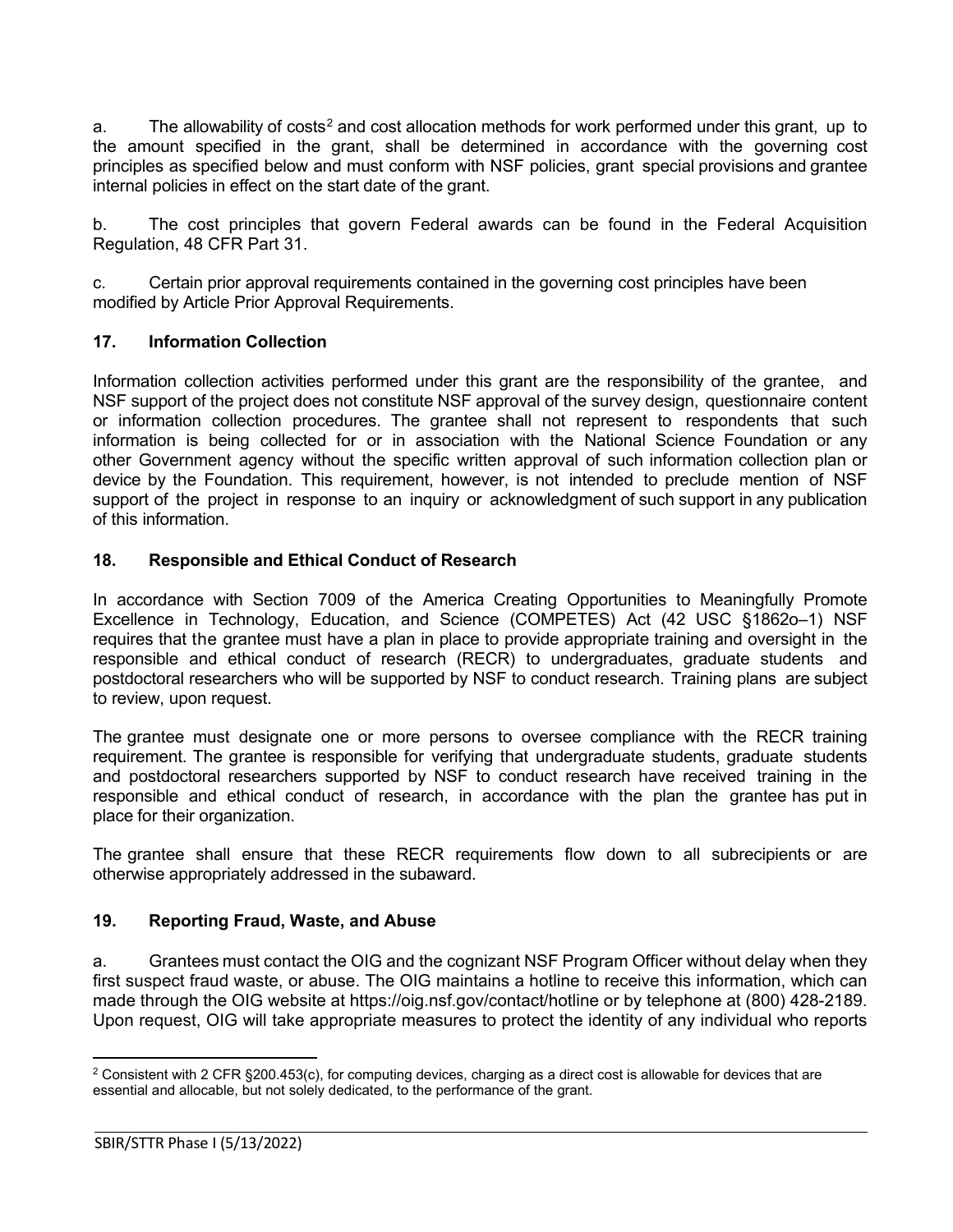a. The allowability of costs<sup>[2](#page-10-3)</sup> and cost allocation methods for work performed under this grant, up to the amount specified in the grant, shall be determined in accordance with the governing cost principles as specified below and must conform with NSF policies, grant special provisions and grantee internal policies in effect on the start date of the grant.

b. The cost principles that govern Federal awards can be found in the Federal Acquisition Regulation, 48 CFR Part 31.

c. Certain prior approval requirements contained in the governing cost principles have been modified by Article Prior Approval Requirements.

# <span id="page-10-0"></span>**17. Information Collection**

Information collection activities performed under this grant are the responsibility of the grantee, and NSF support of the project does not constitute NSF approval of the survey design, questionnaire content or information collection procedures. The grantee shall not represent to respondents that such information is being collected for or in association with the National Science Foundation or any other Government agency without the specific written approval of such information collection plan or device by the Foundation. This requirement, however, is not intended to preclude mention of NSF support of the project in response to an inquiry or acknowledgment of such support in any publication of this information.

### <span id="page-10-1"></span>**18. Responsible and Ethical Conduct of Research**

In accordance with Section 7009 of the America Creating Opportunities to Meaningfully Promote Excellence in Technology, Education, and Science (COMPETES) Act (42 USC §1862o–1) NSF requires that the grantee must have a plan in place to provide appropriate training and oversight in the responsible and ethical conduct of research (RECR) to undergraduates, graduate students and postdoctoral researchers who will be supported by NSF to conduct research. Training plans are subject to review, upon request.

The grantee must designate one or more persons to oversee compliance with the RECR training requirement. The grantee is responsible for verifying that undergraduate students, graduate students and postdoctoral researchers supported by NSF to conduct research have received training in the responsible and ethical conduct of research, in accordance with the plan the grantee has put in place for their organization.

The grantee shall ensure that these RECR requirements flow down to all subrecipients or are otherwise appropriately addressed in the subaward.

### <span id="page-10-2"></span>**19. Reporting Fraud, Waste, and Abuse**

a. Grantees must contact the OIG and the cognizant NSF Program Officer without delay when they first suspect fraud waste, or abuse. The OIG maintains a hotline to receive this information, which can made through the OIG website at https://oig.nsf.gov/contact/hotline or by telephone at (800) 428-2189. Upon request, OIG will take appropriate measures to protect the identity of any individual who reports

<span id="page-10-3"></span><sup>&</sup>lt;sup>2</sup> Consistent with 2 CFR §200.453(c), for computing devices, charging as a direct cost is allowable for devices that are essential and allocable, but not solely dedicated, to the performance of the grant.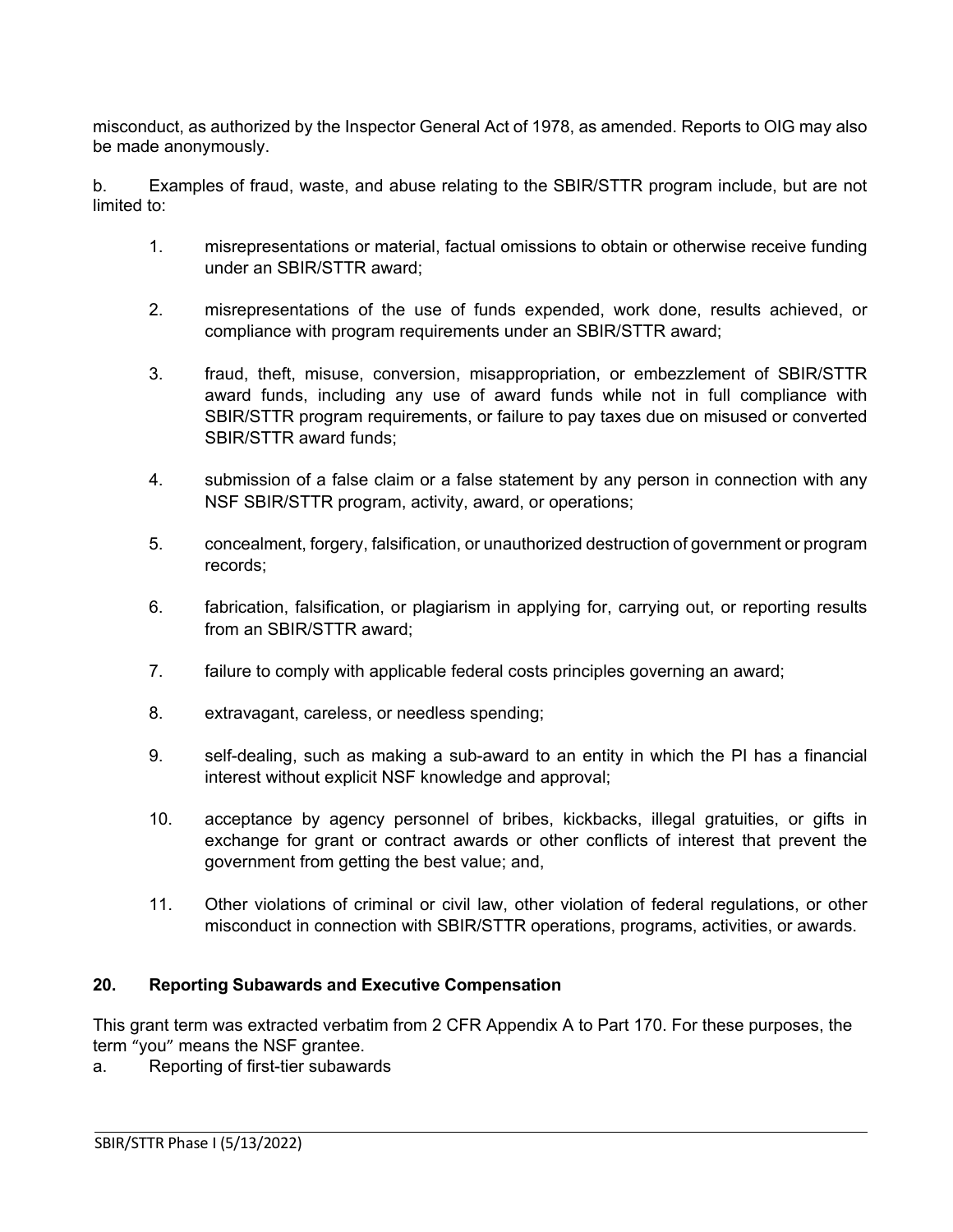misconduct, as authorized by the Inspector General Act of 1978, as amended. Reports to OIG may also be made anonymously.

b. Examples of fraud, waste, and abuse relating to the SBIR/STTR program include, but are not limited to:

- 1. misrepresentations or material, factual omissions to obtain or otherwise receive funding under an SBIR/STTR award;
- 2. misrepresentations of the use of funds expended, work done, results achieved, or compliance with program requirements under an SBIR/STTR award;
- 3. fraud, theft, misuse, conversion, misappropriation, or embezzlement of SBIR/STTR award funds, including any use of award funds while not in full compliance with SBIR/STTR program requirements, or failure to pay taxes due on misused or converted SBIR/STTR award funds;
- 4. submission of a false claim or a false statement by any person in connection with any NSF SBIR/STTR program, activity, award, or operations;
- 5. concealment, forgery, falsification, or unauthorized destruction of government or program records;
- 6. fabrication, falsification, or plagiarism in applying for, carrying out, or reporting results from an SBIR/STTR award;
- 7. failure to comply with applicable federal costs principles governing an award;
- 8. extravagant, careless, or needless spending;
- 9. self-dealing, such as making a sub-award to an entity in which the PI has a financial interest without explicit NSF knowledge and approval;
- 10. acceptance by agency personnel of bribes, kickbacks, illegal gratuities, or gifts in exchange for grant or contract awards or other conflicts of interest that prevent the government from getting the best value; and,
- 11. Other violations of criminal or civil law, other violation of federal regulations, or other misconduct in connection with SBIR/STTR operations, programs, activities, or awards.

# <span id="page-11-0"></span>**20. Reporting Subawards and Executive Compensation**

This grant term was extracted verbatim from 2 CFR Appendix A to Part 170. For these purposes, the term "you" means the NSF grantee.

a. Reporting of first-tier subawards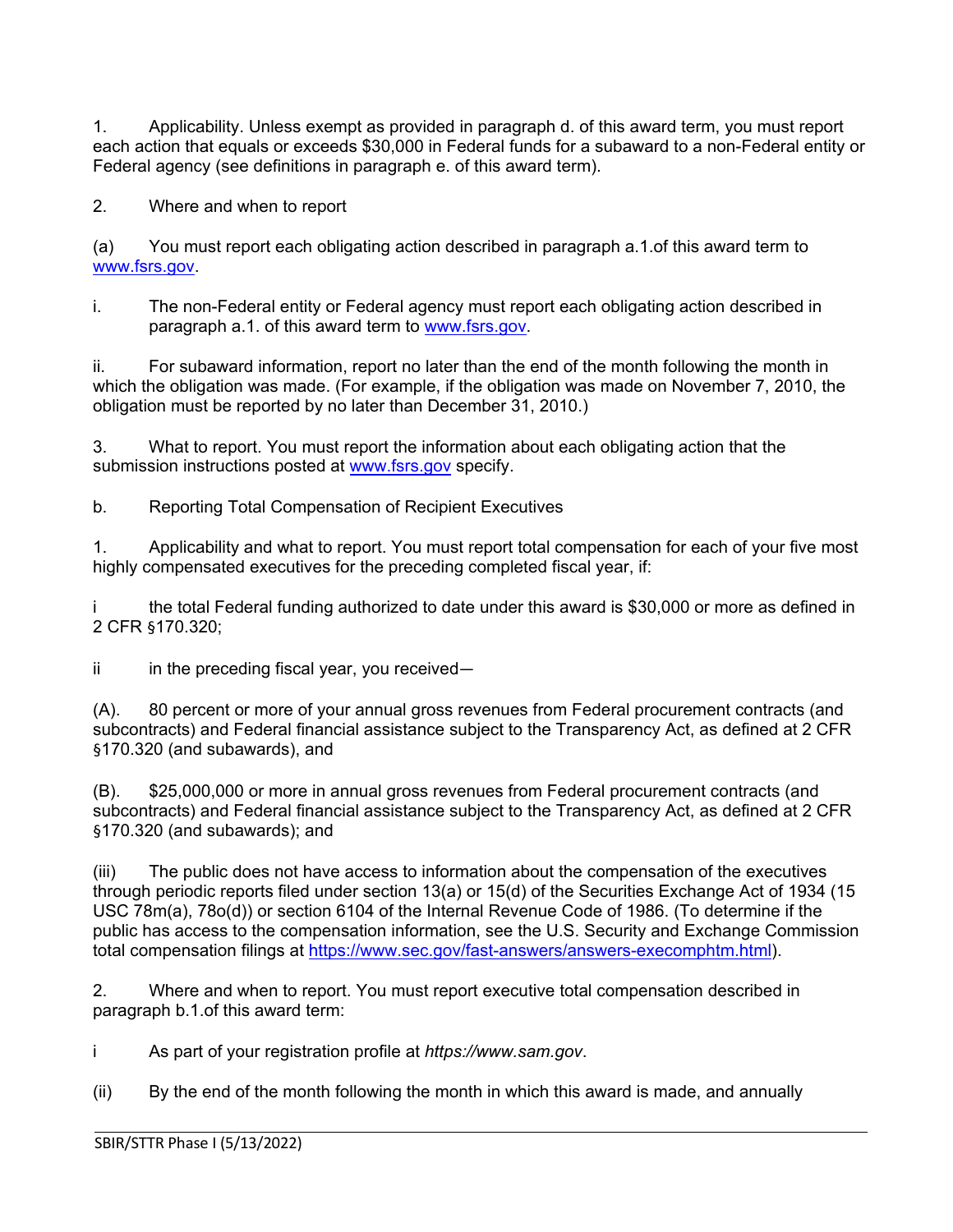1. Applicability. Unless exempt as provided in paragraph d. of this award term, you must report each action that equals or exceeds \$30,000 in Federal funds for a subaward to a non-Federal entity or Federal agency (see definitions in paragraph e. of this award term).

2. Where and when to report

(a) You must report each obligating action described in paragraph a.1.of this award term to [www.fsrs.gov.](http://www.fsrs.gov/)

i. The non-Federal entity or Federal agency must report each obligating action described in paragraph a.1. of this award term to [www.fsrs.gov.](https://nsf-my.sharepoint.com/personal/7632436149_nsf_gov/Documents/Microsoft%20Teams%20Chat%20Files/www.fsrs.gov)

ii. For subaward information, report no later than the end of the month following the month in which the obligation was made. (For example, if the obligation was made on November 7, 2010, the obligation must be reported by no later than December 31, 2010.)

3. What to report. You must report the information about each obligating action that the submission instructions posted at [www.fsrs.gov](http://www.fsrs.gov/) specify.

b. Reporting Total Compensation of Recipient Executives

1. Applicability and what to report. You must report total compensation for each of your five most highly compensated executives for the preceding completed fiscal year, if:

i the total Federal funding authorized to date under this award is \$30,000 or more as defined in 2 CFR §170.320;

 $ii$  in the preceding fiscal year, you received—

(A). 80 percent or more of your annual gross revenues from Federal procurement contracts (and subcontracts) and Federal financial assistance subject to the Transparency Act, as defined at 2 CFR §170.320 (and subawards), and

(B). \$25,000,000 or more in annual gross revenues from Federal procurement contracts (and subcontracts) and Federal financial assistance subject to the Transparency Act, as defined at 2 CFR §170.320 (and subawards); and

(iii) The public does not have access to information about the compensation of the executives through periodic reports filed under section 13(a) or 15(d) of the Securities Exchange Act of 1934 (15 USC 78m(a), 78o(d)) or section 6104 of the Internal Revenue Code of 1986. (To determine if the public has access to the compensation information, see the U.S. Security and Exchange Commission total compensation filings at [https://www.sec.gov/fast-answers/answers-execomphtm.html\)](https://www.sec.gov/fast-answers/answers-execomphtm.html).

2. Where and when to report. You must report executive total compensation described in paragraph b.1.of this award term:

i As part of your registration profile at *https://www.sam.gov*.

(ii) By the end of the month following the month in which this award is made, and annually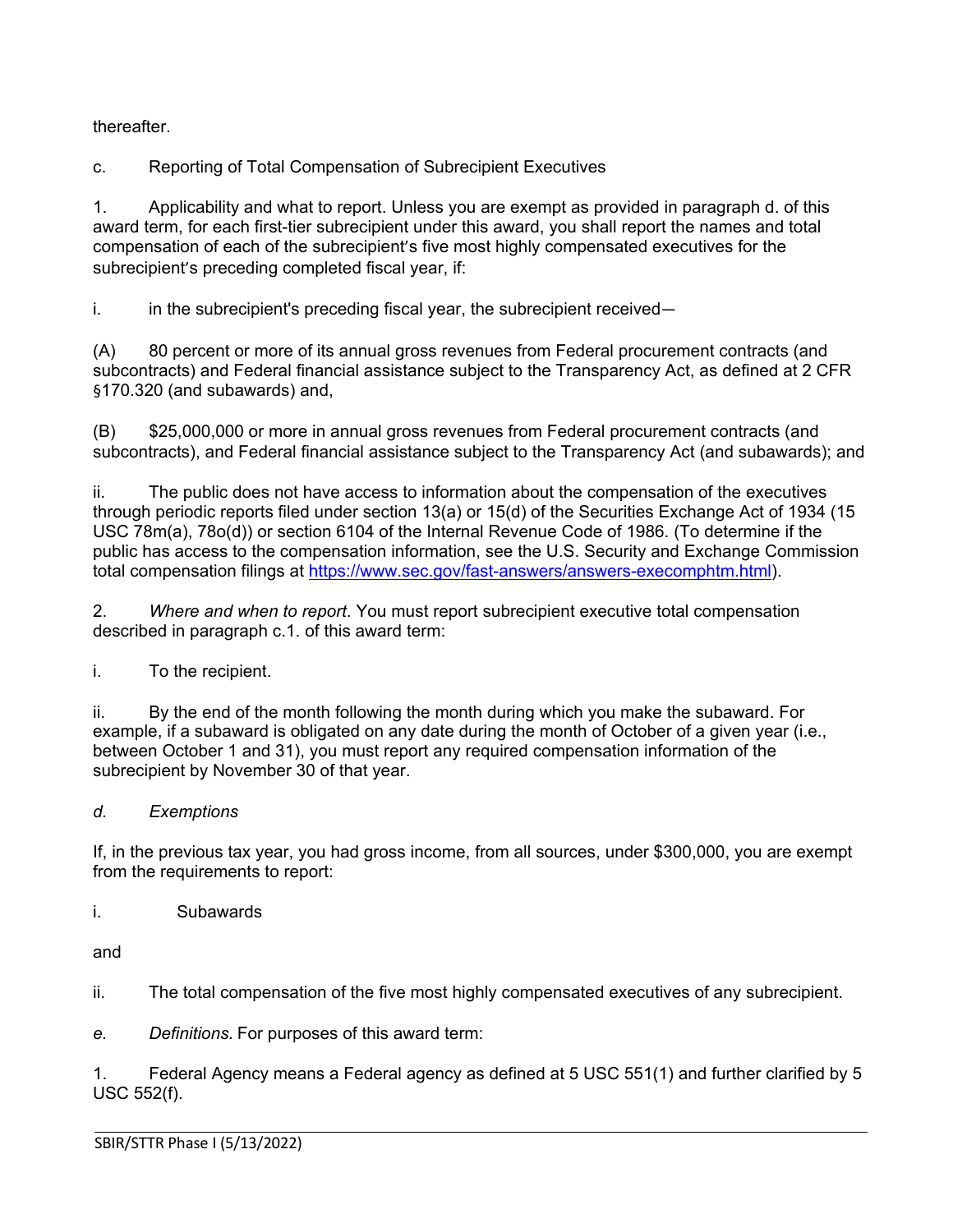thereafter.

c. Reporting of Total Compensation of Subrecipient Executives

1. Applicability and what to report. Unless you are exempt as provided in paragraph d. of this award term, for each first-tier subrecipient under this award, you shall report the names and total compensation of each of the subrecipient's five most highly compensated executives for the subrecipient's preceding completed fiscal year, if:

i. in the subrecipient's preceding fiscal year, the subrecipient received—

(A) 80 percent or more of its annual gross revenues from Federal procurement contracts (and subcontracts) and Federal financial assistance subject to the Transparency Act, as defined at 2 CFR §170.320 (and subawards) and,

(B) \$25,000,000 or more in annual gross revenues from Federal procurement contracts (and subcontracts), and Federal financial assistance subject to the Transparency Act (and subawards); and

ii. The public does not have access to information about the compensation of the executives through periodic reports filed under section 13(a) or 15(d) of the Securities Exchange Act of 1934 (15 USC 78m(a), 78o(d)) or section 6104 of the Internal Revenue Code of 1986. (To determine if the public has access to the compensation information, see the U.S. Security and Exchange Commission total compensation filings at [https://www.sec.gov/fast-answers/answers-execomphtm.html\)](https://www.sec.gov/fast-answers/answers-execomphtm.html).

2. *Where and when to report*. You must report subrecipient executive total compensation described in paragraph c.1. of this award term:

i. To the recipient.

ii. By the end of the month following the month during which you make the subaward. For example, if a subaward is obligated on any date during the month of October of a given year (i.e., between October 1 and 31), you must report any required compensation information of the subrecipient by November 30 of that year.

# *d. Exemptions*

If, in the previous tax year, you had gross income, from all sources, under \$300,000, you are exempt from the requirements to report:

i. Subawards

and

L

ii. The total compensation of the five most highly compensated executives of any subrecipient.

*e. Definitions.* For purposes of this award term:

1. Federal Agency means a Federal agency as defined at 5 USC 551(1) and further clarified by 5 USC 552(f).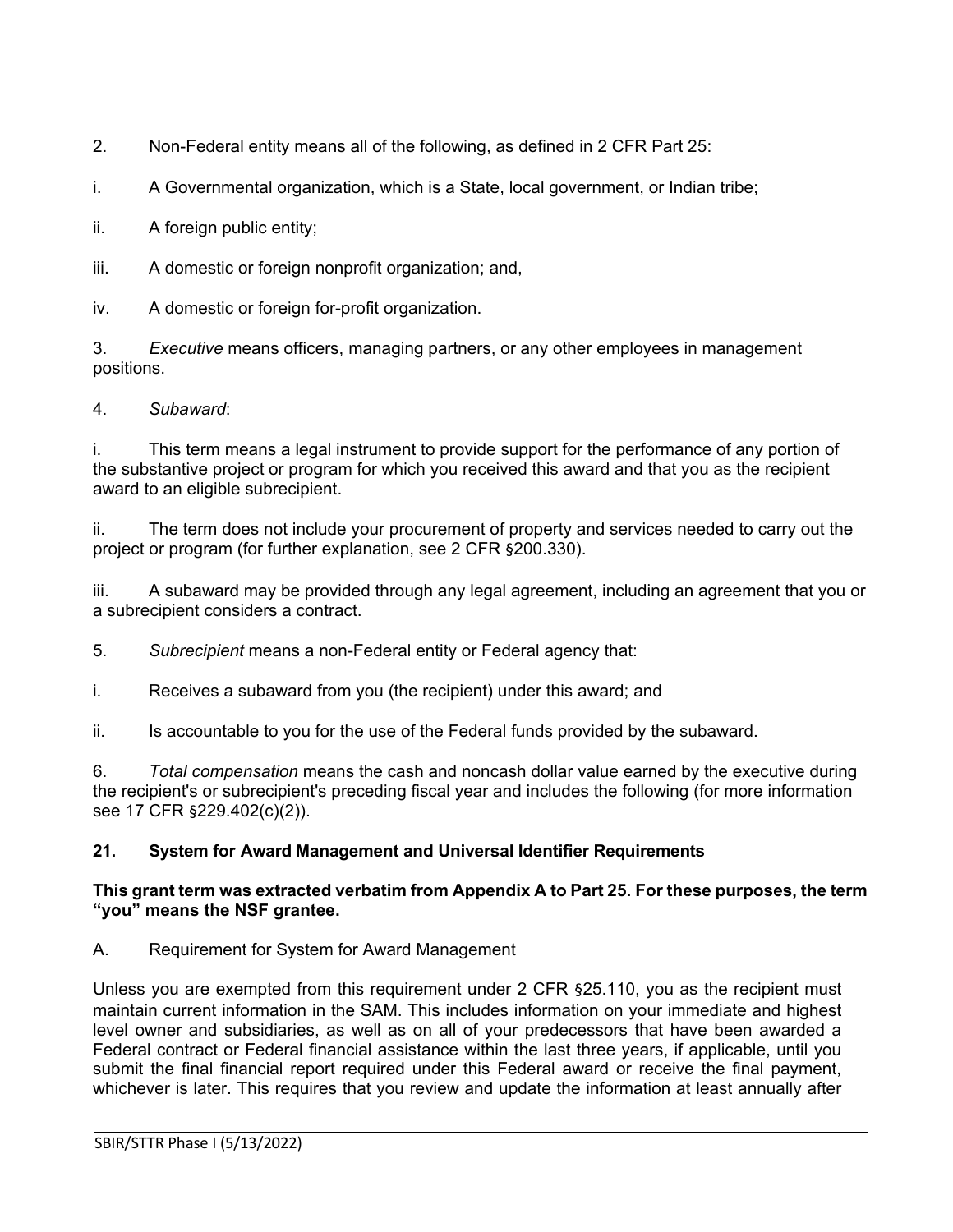2. Non-Federal entity means all of the following, as defined in 2 CFR Part 25:

i. A Governmental organization, which is a State, local government, or Indian tribe;

ii. A foreign public entity;

iii. A domestic or foreign nonprofit organization; and,

iv. A domestic or foreign for-profit organization.

3. *Executive* means officers, managing partners, or any other employees in management positions.

4. *Subaward*:

i. This term means a legal instrument to provide support for the performance of any portion of the substantive project or program for which you received this award and that you as the recipient award to an eligible subrecipient.

ii. The term does not include your procurement of property and services needed to carry out the project or program (for further explanation, see 2 CFR §200.330).

iii. A subaward may be provided through any legal agreement, including an agreement that you or a subrecipient considers a contract.

5. *Subrecipient* means a non-Federal entity or Federal agency that:

i. Receives a subaward from you (the recipient) under this award; and

ii. Is accountable to you for the use of the Federal funds provided by the subaward.

6. *Total compensation* means the cash and noncash dollar value earned by the executive during the recipient's or subrecipient's preceding fiscal year and includes the following (for more information see 17 CFR §229.402(c)(2)).

# <span id="page-14-0"></span>**21. System for Award Management and Universal Identifier Requirements**

### **This grant term was extracted verbatim from Appendix A to Part 25. For these purposes, the term "you" means the NSF grantee.**

A. Requirement for System for Award Management

Unless you are exempted from this requirement under 2 CFR §25.110, you as the recipient must maintain current information in the SAM. This includes information on your immediate and highest level owner and subsidiaries, as well as on all of your predecessors that have been awarded a Federal contract or Federal financial assistance within the last three years, if applicable, until you submit the final financial report required under this Federal award or receive the final payment, whichever is later. This requires that you review and update the information at least annually after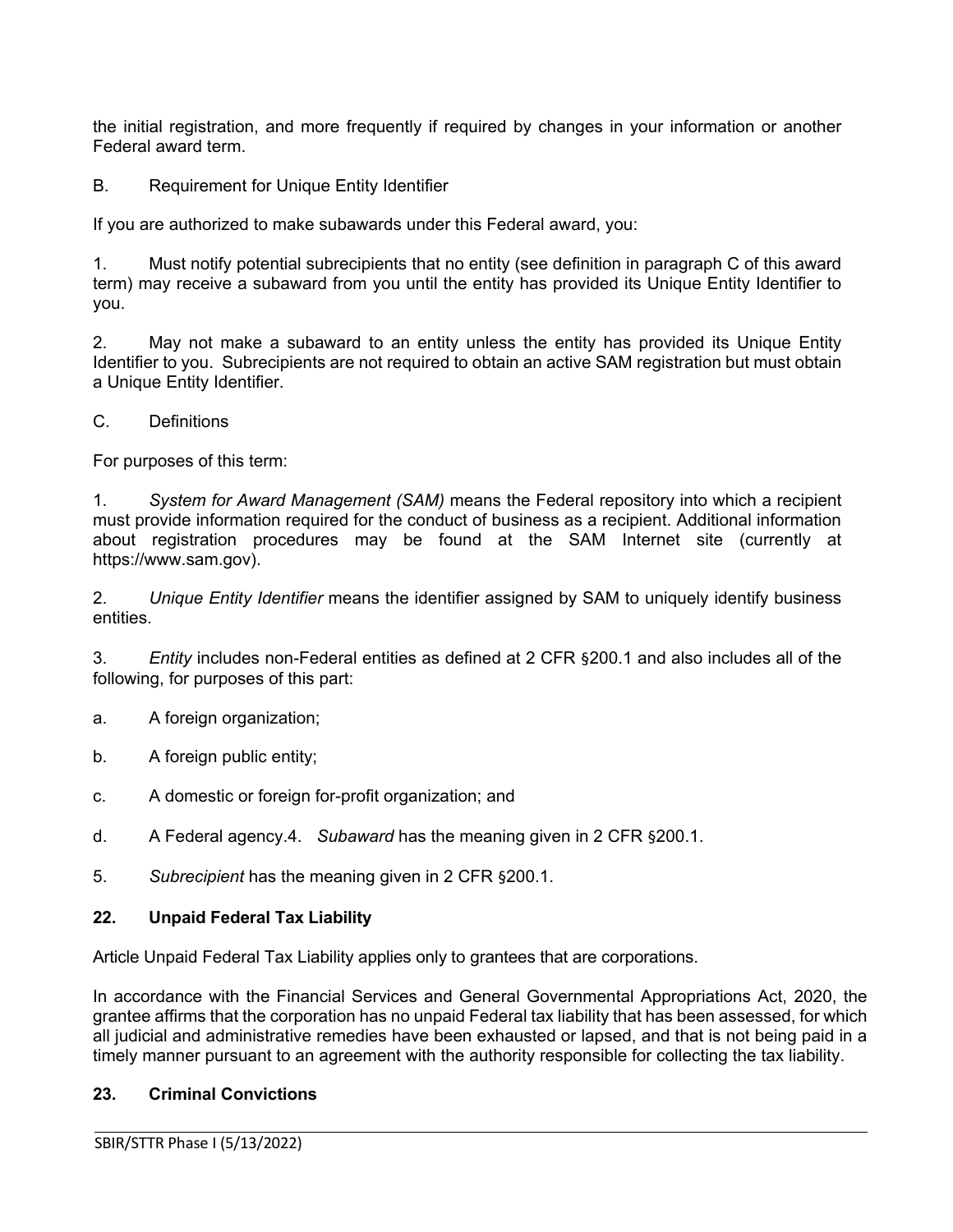the initial registration, and more frequently if required by changes in your information or another Federal award term.

B. Requirement for Unique Entity Identifier

If you are authorized to make subawards under this Federal award, you:

1. Must notify potential subrecipients that no entity (see definition in paragraph C of this award term) may receive a subaward from you until the entity has provided its Unique Entity Identifier to you.

2. May not make a subaward to an entity unless the entity has provided its Unique Entity Identifier to you. Subrecipients are not required to obtain an active SAM registration but must obtain a Unique Entity Identifier.

C. Definitions

For purposes of this term:

1. *System for Award Management (SAM)* means the Federal repository into which a recipient must provide information required for the conduct of business as a recipient. Additional information about registration procedures may be found at the SAM Internet site (currently at https://www.sam.gov).

2. *Unique Entity Identifier* means the identifier assigned by SAM to uniquely identify business entities.

3. *Entity* includes non-Federal entities as defined at 2 CFR §200.1 and also includes all of the following, for purposes of this part:

- a. A foreign organization;
- b. A foreign public entity;
- c. A domestic or foreign for-profit organization; and
- d. A Federal agency.4. *Subaward* has the meaning given in 2 CFR §200.1.
- 5. *Subrecipient* has the meaning given in 2 CFR §200.1.

### <span id="page-15-0"></span>**22. Unpaid Federal Tax Liability**

Article Unpaid Federal Tax Liability applies only to grantees that are corporations.

In accordance with the Financial Services and General Governmental Appropriations Act, 2020, the grantee affirms that the corporation has no unpaid Federal tax liability that has been assessed, for which all judicial and administrative remedies have been exhausted or lapsed, and that is not being paid in a timely manner pursuant to an agreement with the authority responsible for collecting the tax liability.

### <span id="page-15-1"></span>**23. Criminal Convictions**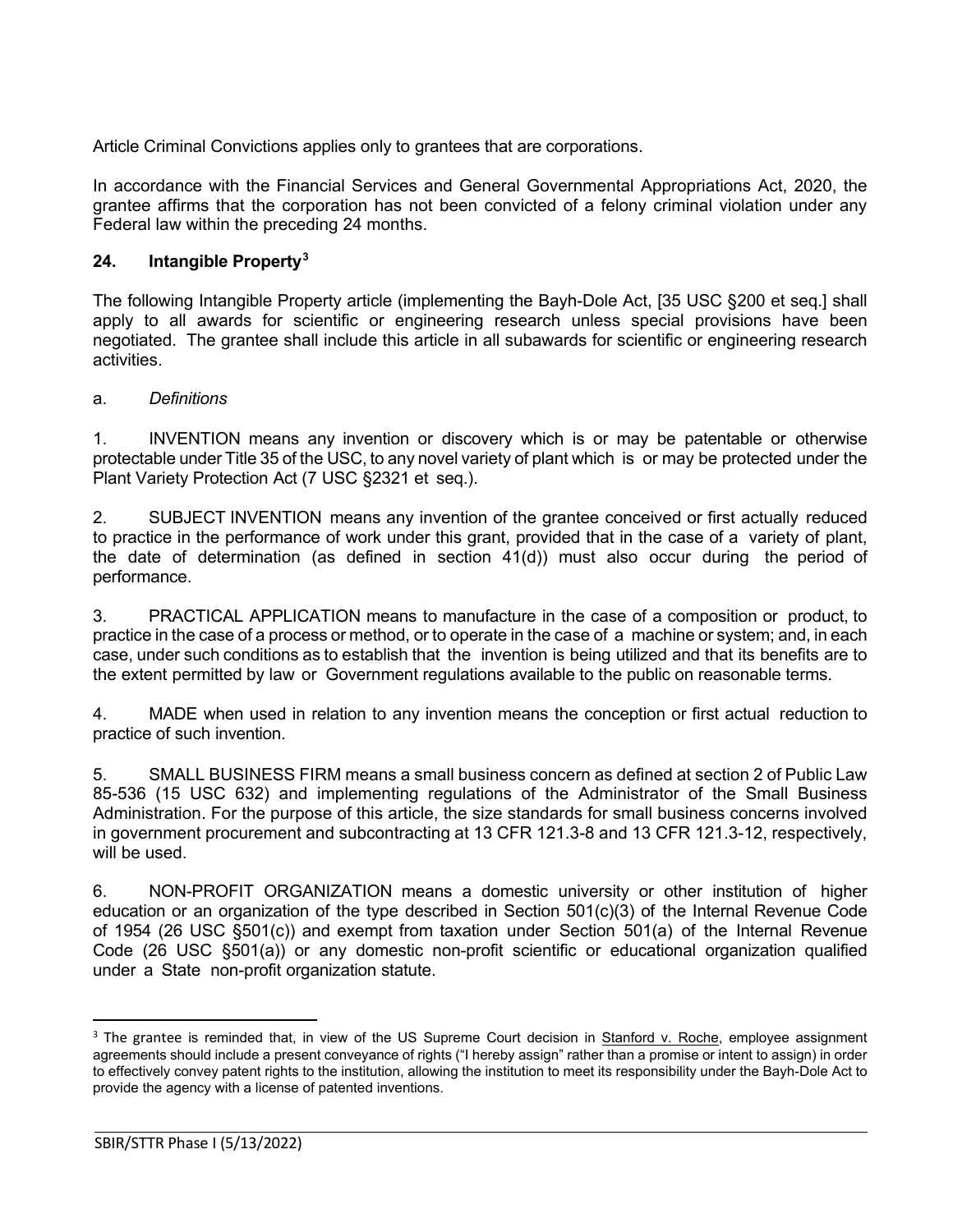Article Criminal Convictions applies only to grantees that are corporations.

In accordance with the Financial Services and General Governmental Appropriations Act, 2020, the grantee affirms that the corporation has not been convicted of a felony criminal violation under any Federal law within the preceding 24 months.

# <span id="page-16-0"></span>**24. Intangible Property[3](#page-16-1)**

The following Intangible Property article (implementing the Bayh-Dole Act, [35 USC §200 et seq.] shall apply to all awards for scientific or engineering research unless special provisions have been negotiated. The grantee shall include this article in all subawards for scientific or engineering research activities.

# a. *Definitions*

1. INVENTION means any invention or discovery which is or may be patentable or otherwise protectable under Title 35 of the USC, to any novel variety of plant which is or may be protected under the Plant Variety Protection Act [\(7 USC §2321](http://www.access.gpo.gov/uscode/title7/chapter57_.html) et [seq.](http://www.access.gpo.gov/uscode/title7/chapter57_.html)).

2. SUBJECT INVENTION means any invention of the grantee conceived or first actually reduced to practice in the performance of work under this grant, provided that in the case of a variety of plant, the date of determination (as defined in section 41(d)) must also occur during the period of performance.

3. PRACTICAL APPLICATION means to manufacture in the case of a composition or product, to practice in the case of a process or method, or to operate in the case of a machine or system; and, in each case, under such conditions as to establish that the invention is being utilized and that its benefits are to the extent permitted by law or Government regulations available to the public on reasonable terms.

4. MADE when used in relation to any invention means the conception or first actual reduction to practice of such invention.

5. SMALL BUSINESS FIRM means a small business concern as defined at section 2 of Public Law 85-536 (15 USC 632) and implementing regulations of the Administrator of the Small Business Administration. For the purpose of this article, the size standards for small business concerns involved in government procurement and subcontracting at 13 CFR 121.3-8 and 13 CFR 121.3-12, respectively, will be used.

6. NON-PROFIT ORGANIZATION means a domestic university or other institution of higher education or an organization of the type described in Section 501(c)(3) of the Internal Revenue Code of 1954 (26 [USC §501\(c\)\)](http://frwebgate.access.gpo.gov/cgi-bin/getdoc.cgi?dbname=browse_usc&amp%3Bdocid=Cite%3A%2B26USC501) and exempt from taxation under Section 501(a) of the Internal Revenue Code (26 [USC §501\(a\)\)](http://frwebgate.access.gpo.gov/cgi-bin/getdoc.cgi?dbname=browse_usc&amp%3Bdocid=Cite%3A%2B26USC501) or any domestic non-profit scientific or educational organization qualified under a State non-profit organization statute.

<span id="page-16-1"></span><sup>&</sup>lt;sup>3</sup> The grantee is reminded that, in view of the US Supreme Court decision in **Stanford v. Roche**, employee assignment agreements should include a present conveyance of rights ("I hereby assign" rather than a promise or intent to assign) in order to effectively convey patent rights to the institution, allowing the institution to meet its responsibility under the Bayh-Dole Act to provide the agency with a license of patented inventions.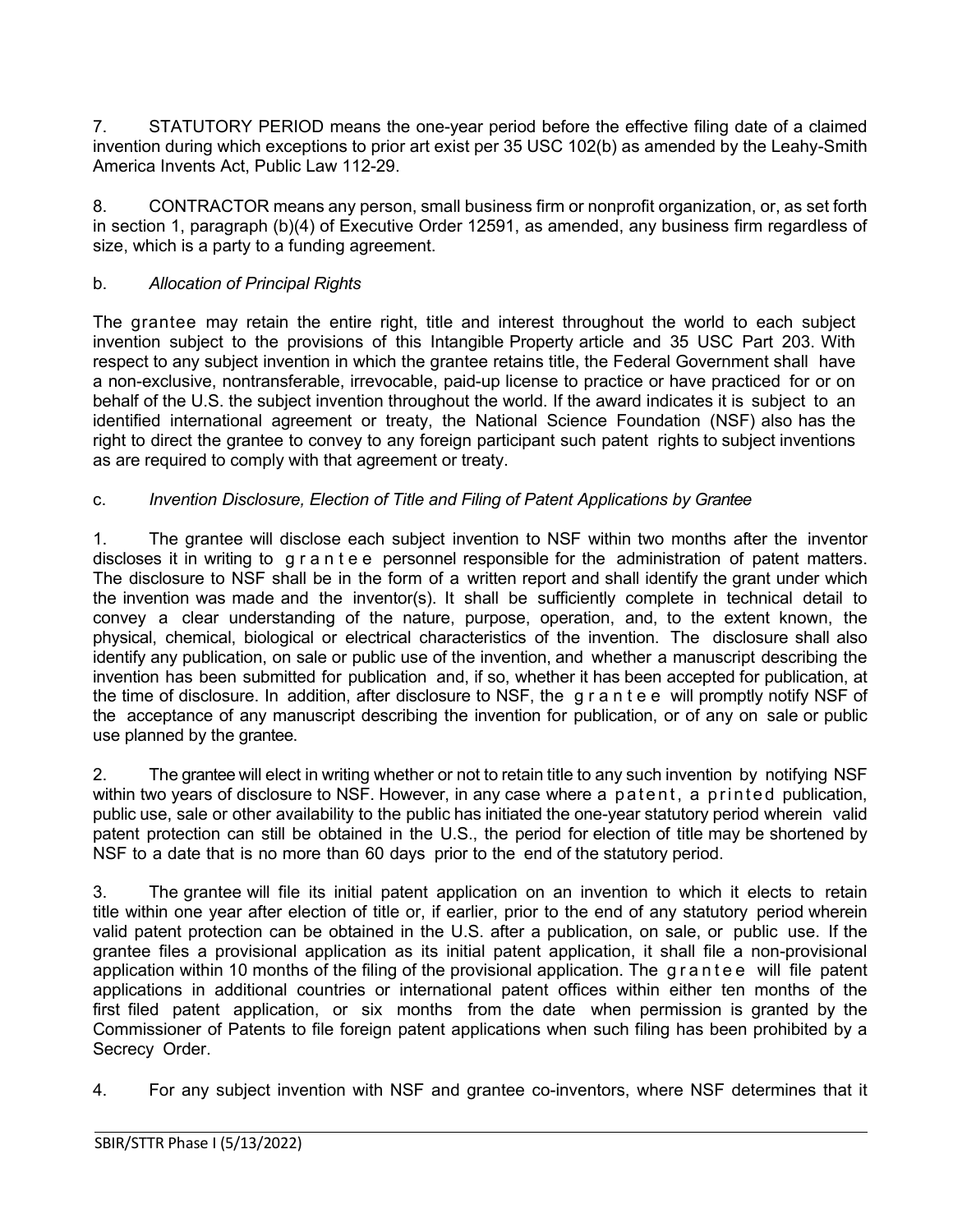7. STATUTORY PERIOD means the one-year period before the effective filing date of a claimed invention during which exceptions to prior art exist per 35 USC 102(b) as amended by the Leahy-Smith America Invents Act, Public Law 112-29.

8. CONTRACTOR means any person, small business firm or nonprofit organization, or, as set forth in section 1, paragraph (b)(4) of Executive Order 12591, as amended, any business firm regardless of size, which is a party to a funding agreement.

# b. *Allocation of Principal Rights*

The grantee may retain the entire right, title and interest throughout the world to each subject invention subject to the provisions of this Intangible Property article and 35 [USC](http://frwebgate.access.gpo.gov/cgi-bin/getdoc.cgi?dbname=browse_usc&docid=Cite%3A%2B35USC203) Part 203. With respect to any subject invention in which the grantee retains title, the Federal Government shall have a non-exclusive, nontransferable, irrevocable, paid-up license to practice or have practiced for or on behalf of the U.S. the subject invention throughout the world. If the award indicates it is subject to an identified international agreement or treaty, the National Science Foundation (NSF) also has the right to direct the grantee to convey to any foreign participant such patent rights to subject inventions as are required to comply with that agreement or treaty.

# c. *Invention Disclosure, Election of Title and Filing of Patent Applications by Grantee*

1. The grantee will disclose each subject invention to NSF within two months after the inventor discloses it in writing to grantee personnel responsible for the administration of patent matters. The disclosure to NSF shall be in the form of a written report and shall identify the grant under which the invention was made and the inventor(s). It shall be sufficiently complete in technical detail to convey a clear understanding of the nature, purpose, operation, and, to the extent known, the physical, chemical, biological or electrical characteristics of the invention. The disclosure shall also identify any publication, on sale or public use of the invention, and whether a manuscript describing the invention has been submitted for publication and, if so, whether it has been accepted for publication, at the time of disclosure. In addition, after disclosure to NSF, the grantee will promptly notify NSF of the acceptance of any manuscript describing the invention for publication, or of any on sale or public use planned by the grantee.

2. The grantee will elect in writing whether or not to retain title to any such invention by notifying NSF within two years of disclosure to NSF. However, in any case where a patent, a printed publication, public use, sale or other availability to the public has initiated the one-year statutory period wherein valid patent protection can still be obtained in the U.S., the period for election of title may be shortened by NSF to a date that is no more than 60 days prior to the end of the statutory period.

3. The grantee will file its initial patent application on an invention to which it elects to retain title within one year after election of title or, if earlier, prior to the end of any statutory period wherein valid patent protection can be obtained in the U.S. after a publication, on sale, or public use. If the grantee files a provisional application as its initial patent application, it shall file a non-provisional application within 10 months of the filing of the provisional application. The grantee will file patent applications in additional countries or international patent offices within either ten months of the first filed patent application, or six months from the date when permission is granted by the Commissioner of Patents to file foreign patent applications when such filing has been prohibited by a Secrecy Order.

4. For any subject invention with NSF and grantee co-inventors, where NSF determines that it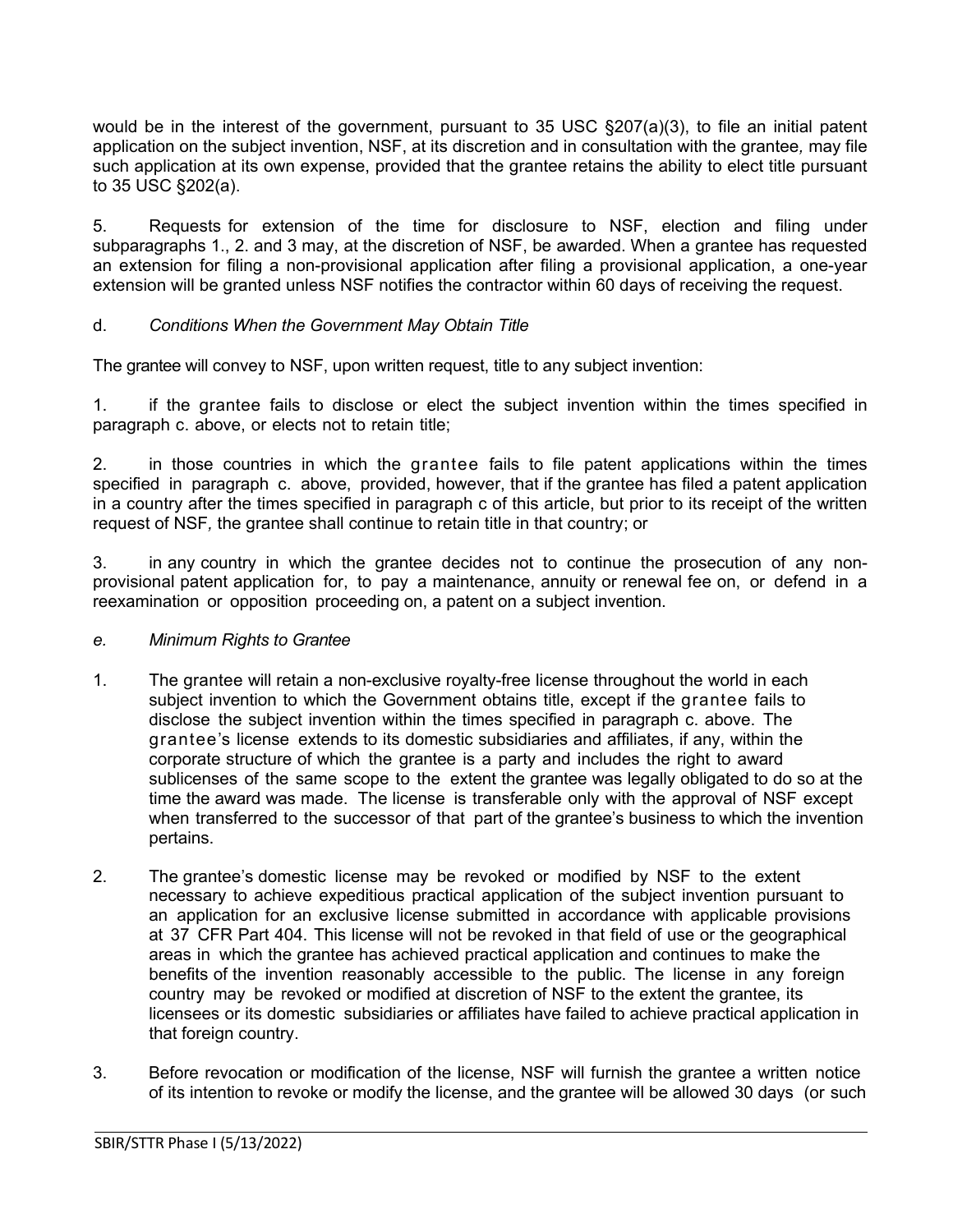would be in the interest of the government, pursuant to 35 USC  $\S207(a)(3)$ , to file an initial patent application on the subject invention, NSF, at its discretion and in consultation with the grantee*,* may file such application at its own expense, provided that the grantee retains the ability to elect title pursuant to 35 USC §202(a).

5. Requests for extension of the time for disclosure to NSF, election and filing under subparagraphs 1., 2. and 3 may, at the discretion of NSF, be awarded. When a grantee has requested an extension for filing a non-provisional application after filing a provisional application, a one-year extension will be granted unless NSF notifies the contractor within 60 days of receiving the request.

# d. *Conditions When the Government May Obtain Title*

The grantee will convey to NSF, upon written request, title to any subject invention:

1. if the grantee fails to disclose or elect the subject invention within the times specified in paragraph c. above, or elects not to retain title;

2. in those countries in which the grantee fails to file patent applications within the times specified in paragraph c. above, provided, however, that if the grantee has filed a patent application in a country after the times specified in paragraph c of this article, but prior to its receipt of the written request of NSF*,* the grantee shall continue to retain title in that country; or

3. in any country in which the grantee decides not to continue the prosecution of any nonprovisional patent application for, to pay a maintenance, annuity or renewal fee on, or defend in a reexamination or opposition proceeding on, a patent on a subject invention.

### *e. Minimum Rights to Grantee*

- 1. The grantee will retain a non-exclusive royalty-free license throughout the world in each subject invention to which the Government obtains title, except if the grantee fails to disclose the subject invention within the times specified in paragraph c. above. The grantee's license extends to its domestic subsidiaries and affiliates, if any, within the corporate structure of which the grantee is a party and includes the right to award sublicenses of the same scope to the extent the grantee was legally obligated to do so at the time the award was made. The license is transferable only with the approval of NSF except when transferred to the successor of that part of the grantee's business to which the invention pertains.
- 2. The grantee's domestic license may be revoked or modified by NSF to the extent necessary to achieve expeditious practical application of the subject invention pursuant to an application for an exclusive license submitted in accordance with applicable provisions at [37](http://www.access.gpo.gov/nara/cfr/waisidx_06/37cfr404_06.html) [CFR](http://www.access.gpo.gov/nara/cfr/waisidx_06/37cfr404_06.html) Part 404. This license will not be revoked in that field of use or the geographical areas in which the grantee has achieved practical application and continues to make the benefits of the invention reasonably accessible to the public. The license in any foreign country may be revoked or modified at discretion of NSF to the extent the grantee, its licensees or its domestic subsidiaries or affiliates have failed to achieve practical application in that foreign country.
- 3. Before revocation or modification of the license, NSF will furnish the grantee a written notice of its intention to revoke or modify the license, and the grantee will be allowed 30 days (or such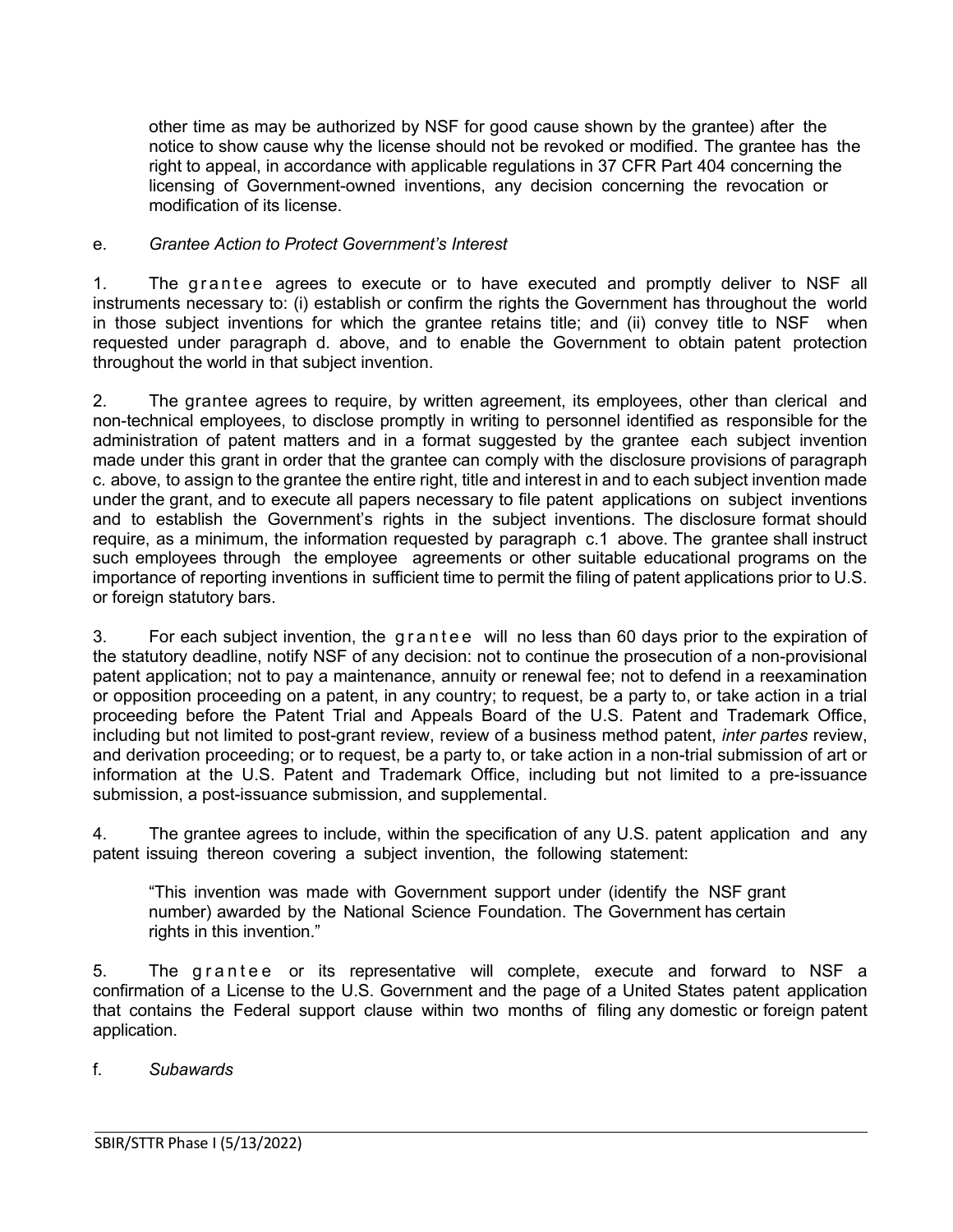other time as may be authorized by NSF for good cause shown by the grantee) after the notice to show cause why the license should not be revoked or modified. The grantee has the right to appeal, in accordance with applicable regulations in 37 [CFR](http://www.access.gpo.gov/nara/cfr/waisidx_06/37cfr404_06.html) Part 404 concerning the licensing of Government-owned inventions, any decision concerning the revocation or modification of its license.

#### e. *Grantee Action to Protect Government's Interest*

1. The grantee agrees to execute or to have executed and promptly deliver to NSF all instruments necessary to: (i) establish or confirm the rights the Government has throughout the world in those subject inventions for which the grantee retains title; and (ii) convey title to NSF when requested under paragraph d. above, and to enable the Government to obtain patent protection throughout the world in that subject invention.

2. The grantee agrees to require, by written agreement, its employees, other than clerical and non-technical employees, to disclose promptly in writing to personnel identified as responsible for the administration of patent matters and in a format suggested by the grantee each subject invention made under this grant in order that the grantee can comply with the disclosure provisions of paragraph c. above, to assign to the grantee the entire right, title and interest in and to each subject invention made under the grant, and to execute all papers necessary to file patent applications on subject inventions and to establish the Government's rights in the subject inventions. The disclosure format should require, as a minimum, the information requested by paragraph c.1 above. The grantee shall instruct such employees through the employee agreements or other suitable educational programs on the importance of reporting inventions in sufficient time to permit the filing of patent applications prior to U.S. or foreign statutory bars.

3. For each subject invention, the grantee will no less than 60 days prior to the expiration of the statutory deadline, notify NSF of any decision: not to continue the prosecution of a non-provisional patent application; not to pay a maintenance, annuity or renewal fee; not to defend in a reexamination or opposition proceeding on a patent, in any country; to request, be a party to, or take action in a trial proceeding before the Patent Trial and Appeals Board of the U.S. Patent and Trademark Office, including but not limited to post-grant review, review of a business method patent, *inter partes* review, and derivation proceeding; or to request, be a party to, or take action in a non-trial submission of art or information at the U.S. Patent and Trademark Office, including but not limited to a pre-issuance submission, a post-issuance submission, and supplemental.

4. The grantee agrees to include, within the specification of any U.S. patent application and any patent issuing thereon covering a subject invention, the following statement:

"This invention was made with Government support under (identify the NSF grant number) awarded by the National Science Foundation. The Government has certain rights in this invention."

5. The grantee or its representative will complete, execute and forward to NSF a confirmation of a License to the U.S. Government and the page of a United States patent application that contains the Federal support clause within two months of filing any domestic or foreign patent application.

f. *Subawards*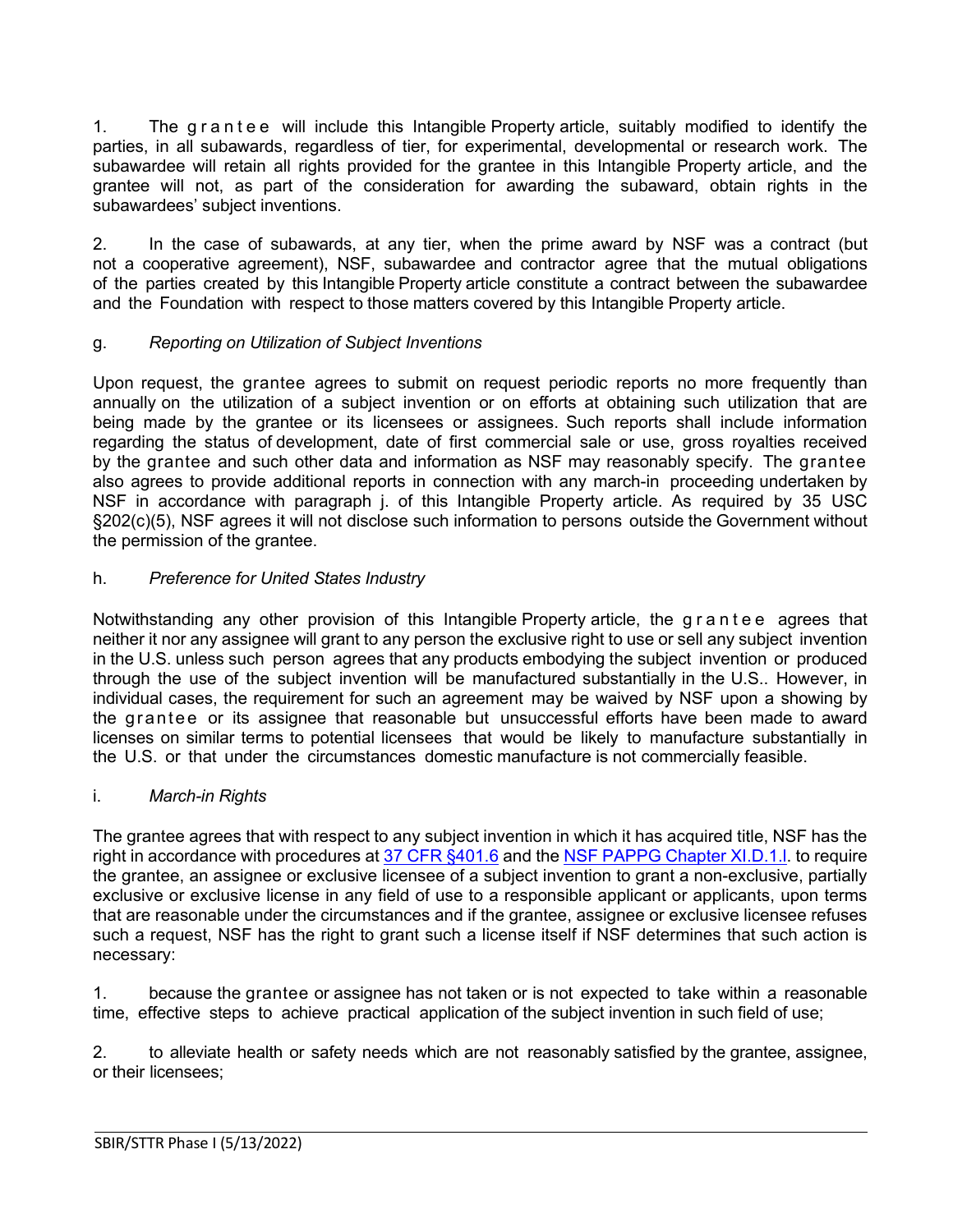1. The grantee will include this Intangible Property article, suitably modified to identify the parties, in all subawards, regardless of tier, for experimental, developmental or research work. The subawardee will retain all rights provided for the grantee in this Intangible Property article, and the grantee will not, as part of the consideration for awarding the subaward, obtain rights in the subawardees' subject inventions.

2. In the case of subawards, at any tier, when the prime award by NSF was a contract (but not a cooperative agreement), NSF, subawardee and contractor agree that the mutual obligations of the parties created by this Intangible Property article constitute a contract between the subawardee and the Foundation with respect to those matters covered by this Intangible Property article.

# g. *Reporting on Utilization of Subject Inventions*

Upon request, the grantee agrees to submit on request periodic reports no more frequently than annually on the utilization of a subject invention or on efforts at obtaining such utilization that are being made by the grantee or its licensees or assignees. Such reports shall include information regarding the status of development, date of first commercial sale or use, gross royalties received by the grantee and such other data and information as NSF may reasonably specify. The grantee also agrees to provide additional reports in connection with any march-in proceeding undertaken by NSF in accordance with paragraph j. of this Intangible Property article. As required by 35 [USC](http://frwebgate.access.gpo.gov/cgi-bin/getdoc.cgi?dbname=browse_usc&docid=Cite%3A%2B35USC202) [§202\(c\)\(5\),](http://frwebgate.access.gpo.gov/cgi-bin/getdoc.cgi?dbname=browse_usc&docid=Cite%3A%2B35USC202) NSF agrees it will not disclose such information to persons outside the Government without the permission of the grantee.

# h. *Preference for United States Industry*

Notwithstanding any other provision of this Intangible Property article, the grantee agrees that neither it nor any assignee will grant to any person the exclusive right to use or sell any subject invention in the U.S. unless such person agrees that any products embodying the subject invention or produced through the use of the subject invention will be manufactured substantially in the U.S.. However, in individual cases, the requirement for such an agreement may be waived by NSF upon a showing by the grantee or its assignee that reasonable but unsuccessful efforts have been made to award licenses on similar terms to potential licensees that would be likely to manufacture substantially in the U.S. or that under the circumstances domestic manufacture is not commercially feasible.

### i. *March-in Rights*

The grantee agrees that with respect to any subject invention in which it has acquired title, NSF has the right in accordance with procedures at [37 CFR §401.6](http://www.access.gpo.gov/nara/cfr/waisidx_06/37cfr401_06.html) and the [NSF PAPPG Chapter](https://www.nsf.gov/pubs/policydocs/pappg22_1/pappg_11.jsp#XID1) XI.D.1.I. to require the grantee, an assignee or exclusive licensee of a subject invention to grant a non-exclusive, partially exclusive or exclusive license in any field of use to a responsible applicant or applicants, upon terms that are reasonable under the circumstances and if the grantee, assignee or exclusive licensee refuses such a request, NSF has the right to grant such a license itself if NSF determines that such action is necessary:

1. because the grantee or assignee has not taken or is not expected to take within a reasonable time, effective steps to achieve practical application of the subject invention in such field of use;

2. to alleviate health or safety needs which are not reasonably satisfied by the grantee, assignee, or their licensees;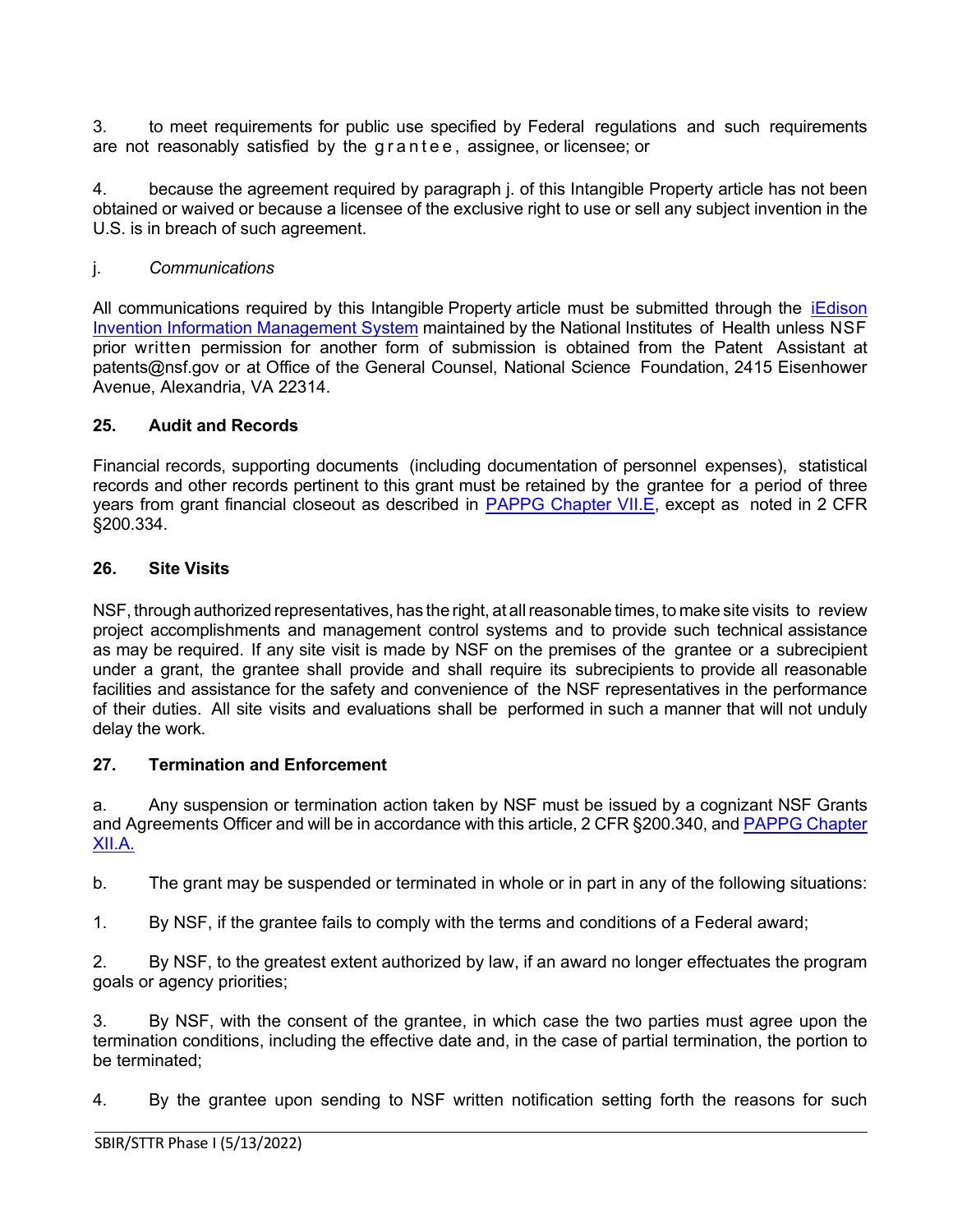3. to meet requirements for public use specified by Federal regulations and such requirements are not reasonably satisfied by the grantee , assignee, or licensee; or

4. because the agreement required by paragraph j. of this Intangible Property article has not been obtained or waived or because a licensee of the exclusive right to use or sell any subject invention in the U.S. is in breach of such agreement.

### j. *Communications*

All communications required by this Intangible Property article must be submitted through the [iEdison](https://public.era.nih.gov/iedison/public/login.do?TYPE=33554433&REALMOID=06-dc4d00e8-1464-45e1-937f-0525407c30fd&GUID&SMAUTHREASON=0&METHOD=GET&SMAGENTNAME=-SM-938PYmoLVb4VrDeXo04LZUDVDvc%2b3899ByInEAjuSUvWNIGfB2zRpWiCivYGCogG&TARGET=-SM-http%3a%2f%2fpublic%2eera%2enih%2egov%2fiedison)  [Invention Information Management System](https://public.era.nih.gov/iedison/public/login.do?TYPE=33554433&REALMOID=06-dc4d00e8-1464-45e1-937f-0525407c30fd&GUID&SMAUTHREASON=0&METHOD=GET&SMAGENTNAME=-SM-938PYmoLVb4VrDeXo04LZUDVDvc%2b3899ByInEAjuSUvWNIGfB2zRpWiCivYGCogG&TARGET=-SM-http%3a%2f%2fpublic%2eera%2enih%2egov%2fiedison) maintained by the National Institutes of Health unless NSF prior written permission for another form of submission is obtained from the Patent Assistant at [patents@nsf.gov](mailto:patents@nsf.gov) or at Office of the General Counsel, National Science Foundation, 2415 Eisenhower Avenue, Alexandria, VA 22314.

### <span id="page-21-0"></span>**25. Audit and Records**

Financial records, supporting documents (including documentation of personnel expenses), statistical records and other records pertinent to this grant must be retained by the grantee for a period of three years from grant financial closeout as described in [PAPPG Chapter VII.E,](https://www.nsf.gov/pubs/policydocs/pappg22_1/pappg_7.jsp#VIIE) except as noted in 2 CFR §200.334.

#### <span id="page-21-1"></span>**26. Site Visits**

NSF, through authorized representatives, has the right, at allreasonable times, to make site visits to review project accomplishments and management control systems and to provide such technical assistance as may be required. If any site visit is made by NSF on the premises of the grantee or a subrecipient under a grant, the grantee shall provide and shall require its subrecipients to provide all reasonable facilities and assistance for the safety and convenience of the NSF representatives in the performance of their duties. All site visits and evaluations shall be performed in such a manner that will not unduly delay the work.

#### <span id="page-21-2"></span>**27. Termination and Enforcement**

a. Any suspension or termination action taken by NSF must be issued by a cognizant NSF Grants and Agreements Officer and will be in accordance with this article, 2 CFR §200.340, and [PAPPG Chapter](https://www.nsf.gov/pubs/policydocs/pappg22_1/pappg_12.jsp#XIIA)  [XII.A.](https://www.nsf.gov/pubs/policydocs/pappg22_1/pappg_12.jsp#XIIA)

b. The grant may be suspended or terminated in whole or in part in any of the following situations:

1. By NSF, if the grantee fails to comply with the terms and conditions of a Federal award;

2. By NSF, to the greatest extent authorized by law, if an award no longer effectuates the program goals or agency priorities;

3. By NSF, with the consent of the grantee, in which case the two parties must agree upon the termination conditions, including the effective date and, in the case of partial termination, the portion to be terminated;

4. By the grantee upon sending to NSF written notification setting forth the reasons for such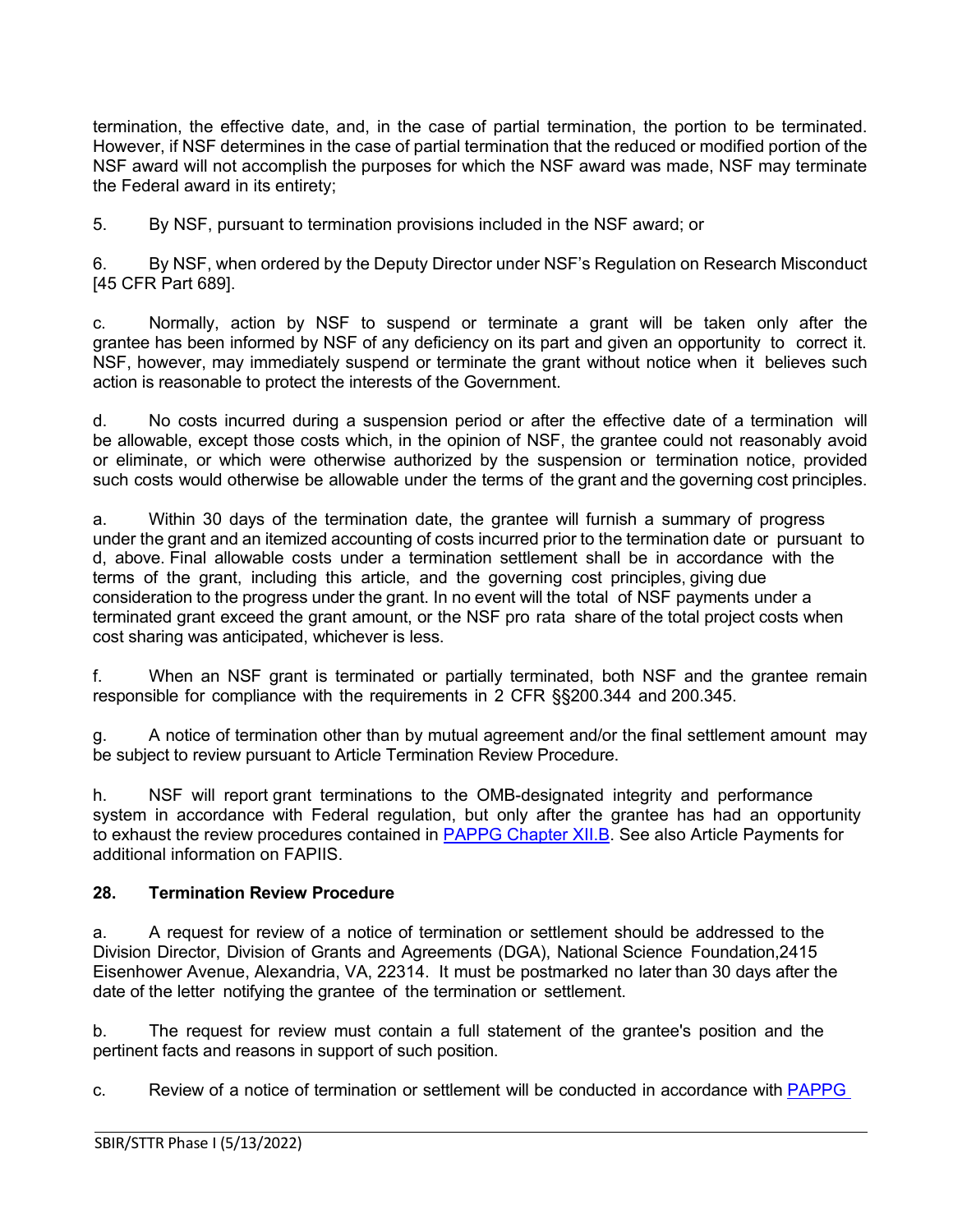termination, the effective date, and, in the case of partial termination, the portion to be terminated. However, if NSF determines in the case of partial termination that the reduced or modified portion of the NSF award will not accomplish the purposes for which the NSF award was made, NSF may terminate the Federal award in its entirety;

5. By NSF, pursuant to termination provisions included in the NSF award; or

6. By NSF, when ordered by the Deputy Director under NSF's Regulation on Research Misconduct [45 CFR Part 689].

c. Normally, action by NSF to suspend or terminate a grant will be taken only after the grantee has been informed by NSF of any deficiency on its part and given an opportunity to correct it. NSF, however, may immediately suspend or terminate the grant without notice when it believes such action is reasonable to protect the interests of the Government.

d. No costs incurred during a suspension period or after the effective date of a termination will be allowable, except those costs which, in the opinion of NSF, the grantee could not reasonably avoid or eliminate, or which were otherwise authorized by the suspension or termination notice, provided such costs would otherwise be allowable under the terms of the grant and the governing cost principles.

a. Within 30 days of the termination date, the grantee will furnish a summary of progress under the grant and an itemized accounting of costs incurred prior to the termination date or pursuant to d, above. Final allowable costs under a termination settlement shall be in accordance with the terms of the grant, including this article, and the governing cost principles, giving due consideration to the progress under the grant. In no event will the total of NSF payments under a terminated grant exceed the grant amount, or the NSF pro rata share of the total project costs when cost sharing was anticipated, whichever is less.

f. When an NSF grant is terminated or partially terminated, both NSF and the grantee remain responsible for compliance with the requirements in 2 CFR §§200.344 and 200.345.

g. A notice of termination other than by mutual agreement and/or the final settlement amount may be subject to review pursuant to Article Termination Review Procedure.

h. NSF will report grant terminations to the OMB-designated integrity and performance system in accordance with Federal regulation, but only after the grantee has had an opportunity to exhaust the review procedures contained in [PAPPG Chapter XII.B.](https://www.nsf.gov/pubs/policydocs/pappg22_1/pappg_12.jsp#XIIB) See also Article Payments for additional information on FAPIIS.

### <span id="page-22-0"></span>**28. Termination Review Procedure**

a. A request for review of a notice of termination or settlement should be addressed to the Division Director, Division of Grants and Agreements (DGA), National Science Foundation,2415 Eisenhower Avenue, Alexandria, VA, 22314. It must be postmarked no later than 30 days after the date of the letter notifying the grantee of the termination or settlement.

b. The request for review must contain a full statement of the grantee's position and the pertinent facts and reasons in support of such position.

c. Review of a notice of termination or settlement will be conducted in accordance with [PAPPG](https://www.nsf.gov/pubs/policydocs/pappg22_1/pappg_12.jsp#XIIB)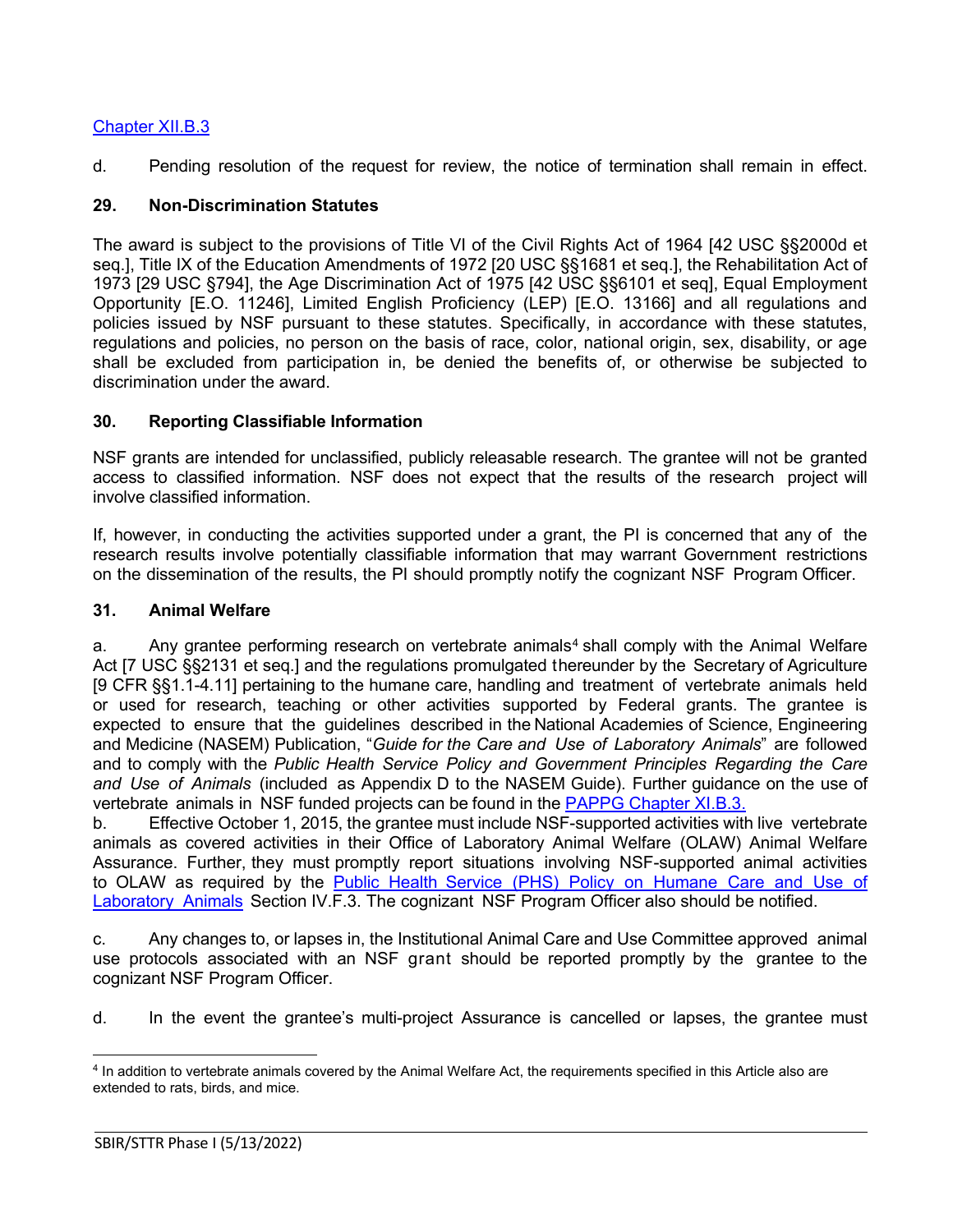# [Chapter XII.B.3](https://www.nsf.gov/pubs/policydocs/pappg22_1/pappg_12.jsp#XIIB)

d. Pending resolution of the request for review, the notice of termination shall remain in effect.

# <span id="page-23-0"></span>**29. Non-Discrimination Statutes**

The award is subject to the provisions of Title VI of the Civil Rights Act of 1964 [42 USC §§2000d et seq.], Title IX of the Education Amendments of 1972 [20 USC §§1681 et seq.], the Rehabilitation Act of 1973 [29 USC §794], the Age Discrimination Act of 1975 [42 USC §§6101 et seq], Equal Employment Opportunity [E.O. 11246], Limited English Proficiency (LEP) [E.O. 13166] and all regulations and policies issued by NSF pursuant to these statutes. Specifically, in accordance with these statutes, regulations and policies, no person on the basis of race, color, national origin, sex, disability, or age shall be excluded from participation in, be denied the benefits of, or otherwise be subjected to discrimination under the award.

# <span id="page-23-1"></span>**30. Reporting Classifiable Information**

NSF grants are intended for unclassified, publicly releasable research. The grantee will not be granted access to classified information. NSF does not expect that the results of the research project will involve classified information.

If, however, in conducting the activities supported under a grant, the PI is concerned that any of the research results involve potentially classifiable information that may warrant Government restrictions on the dissemination of the results, the PI should promptly notify the cognizant NSF Program Officer.

### <span id="page-23-2"></span>**31. Animal Welfare**

a. Any grantee performing research on vertebrate animals<sup>[4](#page-23-3)</sup> shall comply with the Animal Welfare Act [7 [USC §§2131](http://www.access.gpo.gov/uscode/title7/chapter54_.html) et seq.] and the regulations promulgated thereunder by the Secretary of Agriculture [9 [CFR §§1.1-4.11\]](http://www.access.gpo.gov/nara/cfr/waisidx_07/9cfrv1_07.html) pertaining to the humane care, handling and treatment of vertebrate animals held or used for research, teaching or other activities supported by Federal grants. The grantee is expected to ensure that the guidelines described in the National Academies of Science, Engineering and Medicine (NASEM) Publication, "*[Guide for](http://www.nap.edu/readingroom/books/labrats/) the Care and Use of [Laboratory](http://www.nap.edu/readingroom/books/labrats/) Animals*" are followed and to comply with the *Public Health Service Policy and Government Principles Regarding the Care and Use of Animals* (included as Appendix D to the NASEM Guide). Further guidance on the use of vertebrate animals in NSF funded projects can be found in the [PAPPG Chapter XI.B.3.](https://www.nsf.gov/pubs/policydocs/pappg22_1/pappg_11.jsp#XIB3)

b. Effective October 1, 2015, the grantee must include NSF-supported activities with live vertebrate animals as covered activities in their Office of Laboratory Animal Welfare (OLAW) Animal Welfare Assurance. Further, they must promptly report situations involving NSF-supported animal activities to OLAW as required by the Public Health Service (PHS) Policy on [Humane](https://olaw.nih.gov/policies-laws/phs-policy.htm) Care and Use of [Laboratory](https://olaw.nih.gov/policies-laws/phs-policy.htm) Animals Section IV.F.3. The cognizant NSF Program Officer also should be notified.

c. Any changes to, or lapses in, the Institutional Animal Care and Use Committee approved animal use protocols associated with an NSF grant should be reported promptly by the grantee to the cognizant NSF Program Officer.

d. In the event the grantee's multi-project Assurance is cancelled or lapses, the grantee must

<span id="page-23-3"></span><sup>4</sup> In addition to vertebrate animals covered by the Animal Welfare Act, the requirements specified in this Article also are extended to rats, birds, and mice.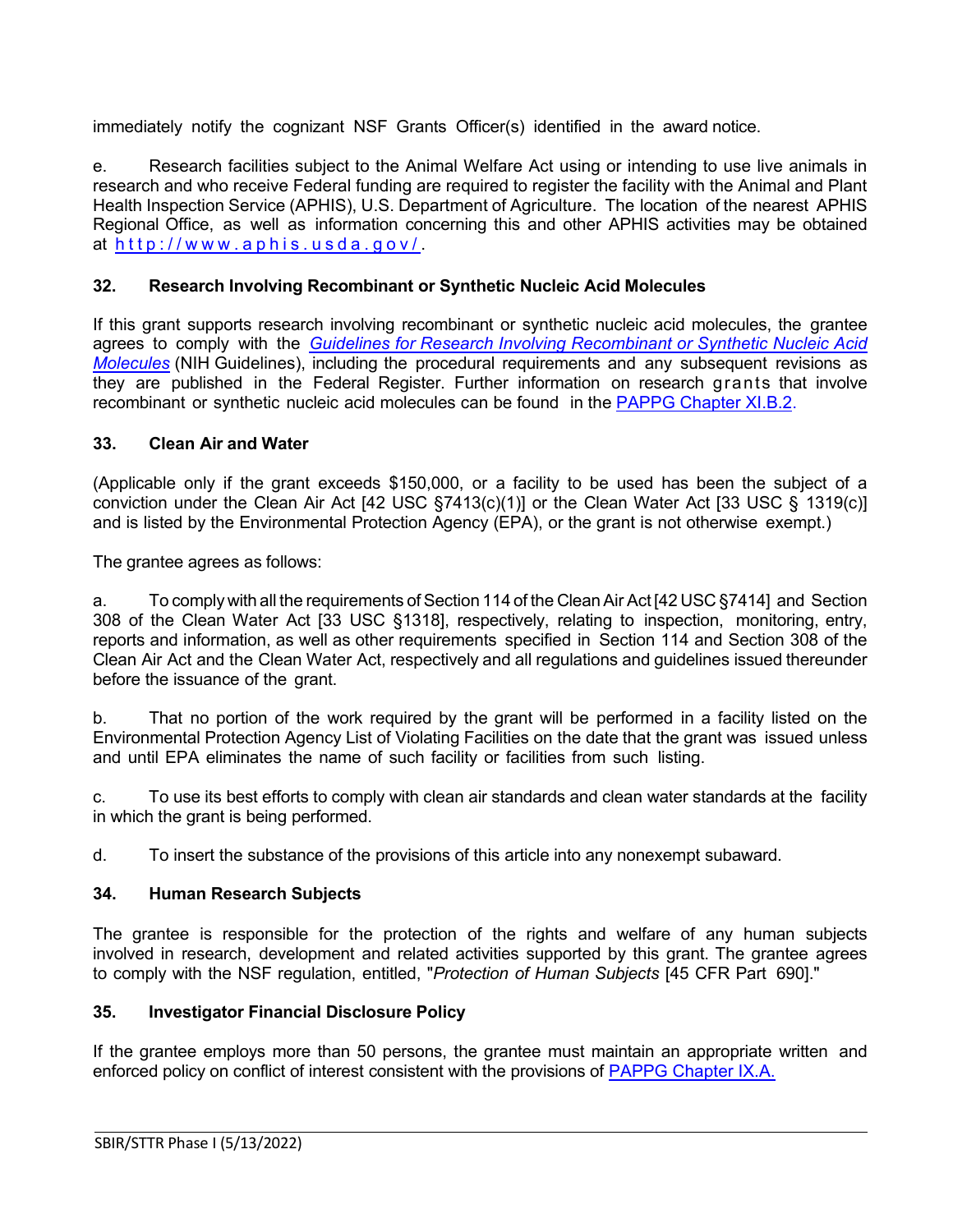immediately notify the cognizant NSF Grants Officer(s) identified in the award notice.

e. Research facilities subject to the Animal Welfare Act using or intending to use live animals in research and who receive Federal funding are required to register the facility with the Animal and Plant Health Inspection Service (APHIS), U.S. Department of Agriculture. The location of the nearest APHIS Regional Office, as well as information concerning this and other APHIS activities may be obtained at <http://www.aphis.usda.gov/> .

# <span id="page-24-0"></span>**32. Research Involving Recombinant or Synthetic Nucleic Acid Molecules**

If this grant supports research involving recombinant or synthetic nucleic acid molecules, the grantee agrees to comply with the *[Guidelines for Research Involving Recombinant or Synthetic Nucleic Acid](http://osp.od.nih.gov/office-biotechnology-activities/biosafety/nih-guidelines)  [Molecules](http://osp.od.nih.gov/office-biotechnology-activities/biosafety/nih-guidelines)* (NIH Guidelines), including the procedural requirements and any subsequent revisions as they are published in the Federal Register. Further information on research grants that involve recombinant or synthetic nucleic acid molecules can be found in the [PAPPG Chapter XI.B.2.](https://www.nsf.gov/pubs/policydocs/pappg22_1/pappg_11.jsp#XIB2)

# <span id="page-24-1"></span>**33. Clean Air and Water**

(Applicable only if the grant exceeds \$150,000, or a facility to be used has been the subject of a conviction under the Clean Air Act [42 [USC §7413\(c\)\(1\)\]](http://frwebgate.access.gpo.gov/cgi-bin/getdoc.cgi?dbname=browse_usc&amp%3Bdocid=Cite%3A%2B42USC7413) or the Clean Water Act [33 [USC §](http://frwebgate.access.gpo.gov/cgi-bin/getdoc.cgi?dbname=browse_usc&amp%3Bdocid=Cite%3A%2B33USC1319) [1319\(c\)](http://frwebgate.access.gpo.gov/cgi-bin/getdoc.cgi?dbname=browse_usc&amp%3Bdocid=Cite%3A%2B33USC1319)] and is listed by the Environmental Protection Agency (EPA), or the grant is not otherwise exempt.)

The grantee agrees as follows:

a. To comply with all the requirements of Section 114 of the Clean Air Act [42 [USC §7414\]](http://frwebgate.access.gpo.gov/cgi-bin/getdoc.cgi?dbname=browse_usc&amp%3Bdocid=Cite%3A%2B42USC7414) and Section 308 of the Clean Water Act [33 [USC §1318\]](http://frwebgate.access.gpo.gov/cgi-bin/getdoc.cgi?dbname=browse_usc&amp%3Bdocid=Cite%3A%2B33USC1318), respectively, relating to inspection, monitoring, entry, reports and information, as well as other requirements specified in Section 114 and Section 308 of the Clean Air Act and the Clean Water Act, respectively and all regulations and guidelines issued thereunder before the issuance of the grant.

b. That no portion of the work required by the grant will be performed in a facility listed on the Environmental Protection Agency List of Violating Facilities on the date that the grant was issued unless and until EPA eliminates the name of such facility or facilities from such listing.

c. To use its best efforts to comply with clean air standards and clean water standards at the facility in which the grant is being performed.

d. To insert the substance of the provisions of this article into any nonexempt subaward.

# <span id="page-24-2"></span>**34. Human Research Subjects**

The grantee is responsible for the protection of the rights and welfare of any human subjects involved in research, development and related activities supported by this grant. The grantee agrees to comply with the NSF regulation, entitled, "*Protection of Human Subjects* [45 [CFR](http://www.access.gpo.gov/nara/cfr/waisidx_06/45cfr690_06.html) Part [690\].](http://www.access.gpo.gov/nara/cfr/waisidx_06/45cfr690_06.html)"

# <span id="page-24-3"></span>**35. Investigator Financial Disclosure Policy**

If the grantee employs more than 50 persons, the grantee must maintain an appropriate written and enforced policy on conflict of interest consistent with the provisions of [PAPPG Chapter IX.A.](https://www.nsf.gov/pubs/policydocs/pappg22_1/pappg_9.jsp#IXA)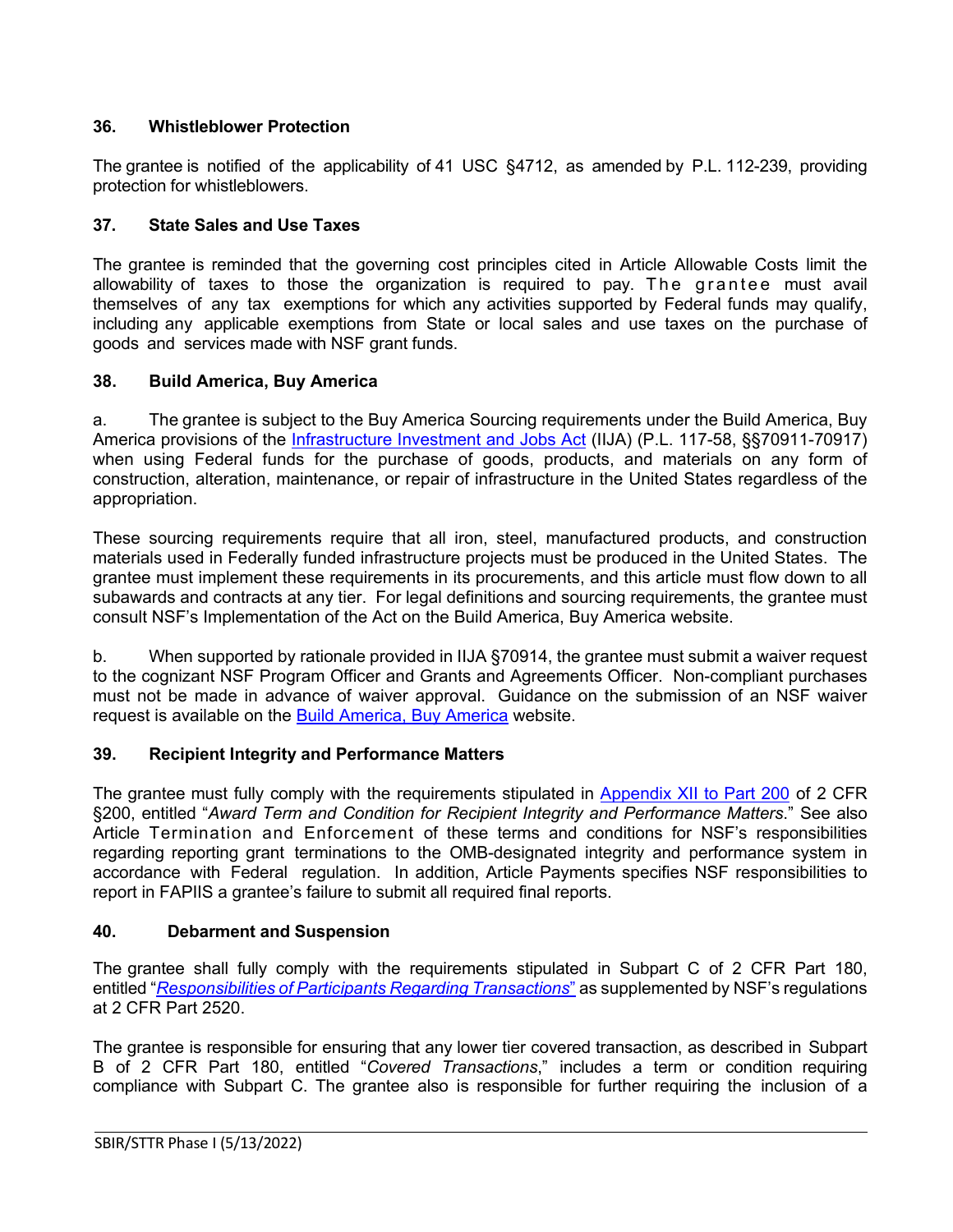# <span id="page-25-0"></span>**36. Whistleblower Protection**

The grantee is notified of the applicability of 41 USC §4712, as amended by P.L. 112-239, providing protection for whistleblowers.

# <span id="page-25-1"></span>**37. State Sales and Use Taxes**

The grantee is reminded that the governing cost principles cited in Article Allowable Costs limit the allowability of taxes to those the organization is required to pay. The grantee must avail themselves of any tax exemptions for which any activities supported by Federal funds may qualify, including any applicable exemptions from State or local sales and use taxes on the purchase of goods and services made with NSF grant funds.

# <span id="page-25-2"></span>**38. Build America, Buy America**

a. The grantee is subject to the Buy America Sourcing requirements under the Build America, Buy America provisions of the [Infrastructure Investment and Jobs Act](https://www.congress.gov/bill/117th-congress/house-bill/3684/text) (IIJA) (P.L. 117-58, §§70911-70917) when using Federal funds for the purchase of goods, products, and materials on any form of construction, alteration, maintenance, or repair of infrastructure in the United States regardless of the appropriation.

These sourcing requirements require that all iron, steel, manufactured products, and construction materials used in Federally funded infrastructure projects must be produced in the United States. The grantee must implement these requirements in its procurements, and this article must flow down to all subawards and contracts at any tier. For legal definitions and sourcing requirements, the grantee must consult NSF's Implementation of the Act on the Build America, Buy America website.

b. When supported by rationale provided in IIJA §70914, the grantee must submit a waiver request to the cognizant NSF Program Officer and Grants and Agreements Officer. Non-compliant purchases must not be made in advance of waiver approval. Guidance on the submission of an NSF waiver request is available on the [Build America, Buy America](https://beta.nsf.gov/funding/build-america-buy-america) website.

# <span id="page-25-3"></span>**39. Recipient Integrity and Performance Matters**

The grantee must fully comply with the requirements stipulated in [Appendix XII to Part 200](https://www.govinfo.gov/app/details/CFR-2017-title2-vol1/CFR-2017-title2-vol1-part200-appXII) of 2 CFR §200, entitled "*Award Term and Condition for Recipient Integrity and Performance Matters*." See also Article Termination and Enforcement of these terms and conditions for NSF's responsibilities regarding reporting grant terminations to the OMB-designated integrity and performance system in accordance with Federal regulation. In addition, Article Payments specifies NSF responsibilities to report in FAPIIS a grantee's failure to submit all required final reports.

# <span id="page-25-4"></span>**40. Debarment and Suspension**

The grantee shall fully comply with the requirements stipulated in [Subpart C of 2 CFR](http://www.whitehouse.gov/omb/fedreg/2005/083105_debarment.pdf) Part 180, entitled "*[Responsibilities of Participants Regarding Transactions](https://www.govinfo.gov/content/pkg/CFR-2011-title2-vol1/pdf/CFR-2011-title2-vol1-part2520.pdf)*" as supplemented by NSF's regulations at 2 CFR Part 2520.

The grantee is responsible for ensuring that any lower tier covered transaction, as described in [Subpart](http://www.whitehouse.gov/omb/fedreg/2005/083105_debarment.pdf) [B of 2 CFR](http://www.whitehouse.gov/omb/fedreg/2005/083105_debarment.pdf) Part 180, entitled "*Covered Transactions*," includes a term or condition requiring compliance with Subpart C. The grantee also is responsible for further requiring the inclusion of a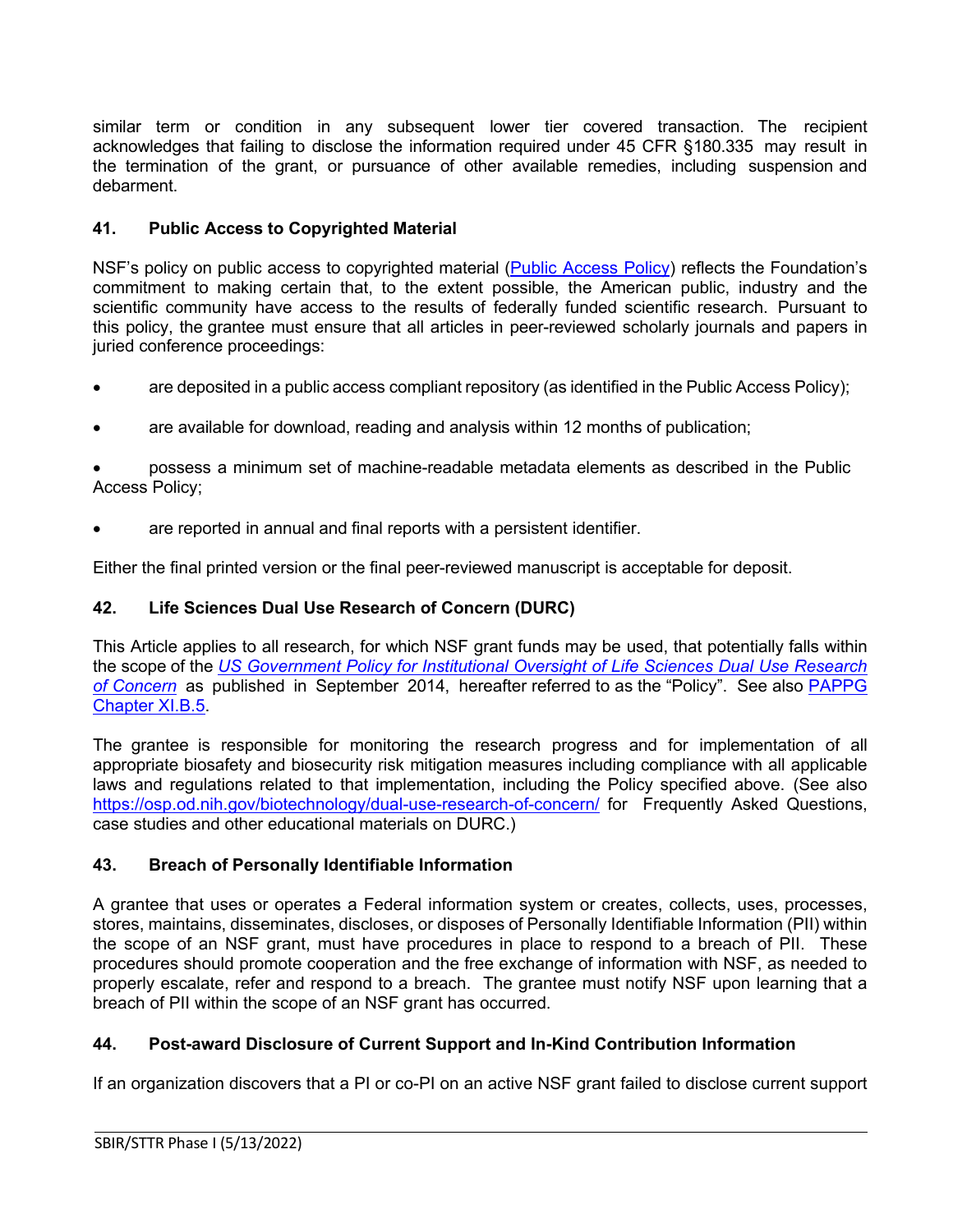similar term or condition in any subsequent lower tier covered transaction. The recipient acknowledges that failing to disclose the information required under 45 [CFR §180.335](http://www.nsf.gov/oig/2_CFR_PART180.pdf) may result in the termination of the grant, or pursuance of other available remedies, including suspension and debarment.

# <span id="page-26-0"></span>**41. Public Access to Copyrighted Material**

NSF's policy on public access to copyrighted material [\(Public Access Policy\)](http://www.nsf.gov/news/special_reports/public_access/) reflects the Foundation's commitment to making certain that, to the extent possible, the American public, industry and the scientific community have access to the results of federally funded scientific research. Pursuant to this policy, the grantee must ensure that all articles in peer-reviewed scholarly journals and papers in juried conference proceedings:

- are deposited in a public access compliant repository (as identified in the Public Access Policy);
- are available for download, reading and analysis within 12 months of publication;

• possess a minimum set of machine-readable metadata elements as described in the Public Access Policy;

are reported in annual and final reports with a persistent identifier.

Either the final printed version or the final peer-reviewed manuscript is acceptable for deposit.

# <span id="page-26-1"></span>**42. Life Sciences Dual Use Research of Concern (DURC)**

This Article applies to all research, for which NSF grant funds may be used, that potentially falls within the scope of the *[US Government Policy for Institutional Oversight of Life Sciences Dual Use Research](http://www.phe.gov/s3/dualuse/Pages/default.aspx)  [of Concern](http://www.phe.gov/s3/dualuse/Pages/default.aspx)* as published in September 2014, hereafter referred to as the "Policy". See also [PAPPG](https://www.nsf.gov/pubs/policydocs/pappg22_1/pappg_11.jsp#XIB5)  [Chapter XI.B.5.](https://www.nsf.gov/pubs/policydocs/pappg22_1/pappg_11.jsp#XIB5)

The grantee is responsible for monitoring the research progress and for implementation of all appropriate biosafety and biosecurity risk mitigation measures including compliance with all applicable laws and regulations related to that implementation, including the Policy specified above. (See also <https://osp.od.nih.gov/biotechnology/dual-use-research-of-concern/> for Frequently Asked Questions, case studies and other educational materials on DURC.)

# <span id="page-26-2"></span>**43. Breach of Personally Identifiable Information**

A grantee that uses or operates a Federal information system or creates, collects, uses, processes, stores, maintains, disseminates, discloses, or disposes of Personally Identifiable Information (PII) within the scope of an NSF grant, must have procedures in place to respond to a breach of PII. These procedures should promote cooperation and the free exchange of information with NSF, as needed to properly escalate, refer and respond to a breach. The grantee must notify NSF upon learning that a breach of PII within the scope of an NSF grant has occurred.

# <span id="page-26-3"></span>**44. Post-award Disclosure of Current Support and In-Kind Contribution Information**

If an organization discovers that a PI or co-PI on an active NSF grant failed to disclose current support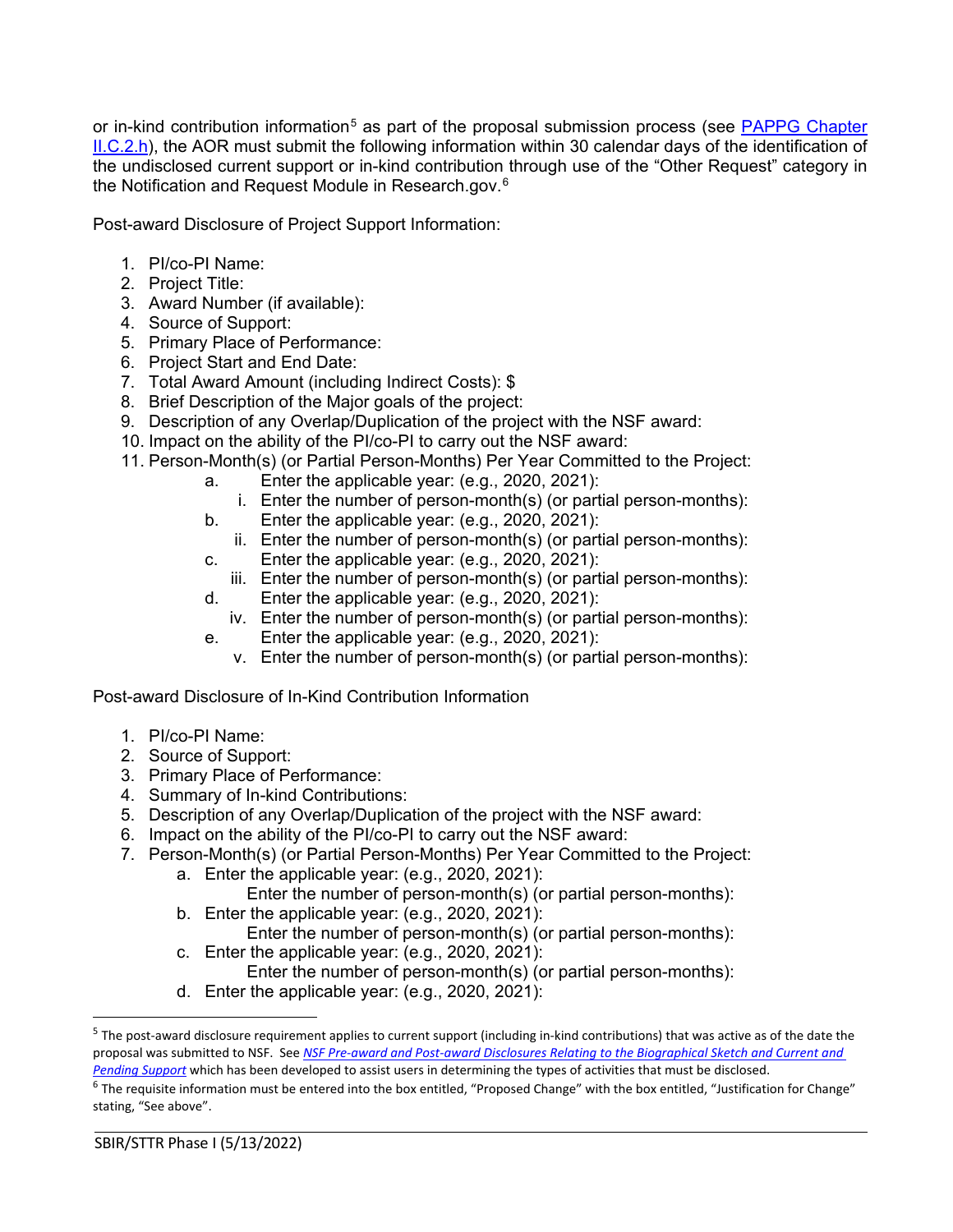or in-kind contribution information<sup>[5](#page-27-0)</sup> as part of the proposal submission process (see PAPPG Chapter [II.C.2.h\)](https://www.nsf.gov/pubs/policydocs/pappg22_1/pappg_2.jsp#IIC2h), the AOR must submit the following information within 30 calendar days of the identification of the undisclosed current support or in-kind contribution through use of the "Other Request" category in the Notification and Request Module in Research.gov.[6](#page-27-1)

Post-award Disclosure of Project Support Information:

- 1. PI/co-PI Name:
- 2. Project Title:
- 3. Award Number (if available):
- 4. Source of Support:
- 5. Primary Place of Performance:
- 6. Project Start and End Date:
- 7. Total Award Amount (including Indirect Costs): \$
- 8. Brief Description of the Major goals of the project:
- 9. Description of any Overlap/Duplication of the project with the NSF award:
- 10. Impact on the ability of the PI/co-PI to carry out the NSF award:
- 11. Person-Month(s) (or Partial Person-Months) Per Year Committed to the Project:
	- a. Enter the applicable year: (e.g., 2020, 2021):
		- i. Enter the number of person-month(s) (or partial person-months):
	- b. Enter the applicable year: (e.g., 2020, 2021):
		- ii. Enter the number of person-month(s) (or partial person-months):
	- c. Enter the applicable year: (e.g., 2020, 2021):
		- iii. Enter the number of person-month(s) (or partial person-months):
	- d. Enter the applicable year: (e.g., 2020, 2021):
	- iv. Enter the number of person-month(s) (or partial person-months):
	- e. Enter the applicable year: (e.g., 2020, 2021):
		- v. Enter the number of person-month(s) (or partial person-months):

Post-award Disclosure of In-Kind Contribution Information

- 1. PI/co-PI Name:
- 2. Source of Support:
- 3. Primary Place of Performance:
- 4. Summary of In-kind Contributions:
- 5. Description of any Overlap/Duplication of the project with the NSF award:
- 6. Impact on the ability of the PI/co-PI to carry out the NSF award:
- 7. Person-Month(s) (or Partial Person-Months) Per Year Committed to the Project:
	- a. Enter the applicable year: (e.g., 2020, 2021):
		- Enter the number of person-month(s) (or partial person-months):
	- b. Enter the applicable year: (e.g., 2020, 2021): Enter the number of person-month(s) (or partial person-months):
	- c. Enter the applicable year: (e.g., 2020, 2021): Enter the number of person-month(s) (or partial person-months):
	- d. Enter the applicable year: (e.g., 2020, 2021):

<span id="page-27-0"></span> $5$  The post-award disclosure requirement applies to current support (including in-kind contributions) that was active as of the date the proposal was submitted to NSF. See *[NSF Pre-award and Post-award Disclosures Relating to the Biographical Sketch and Current and](https://www.nsf.gov/bfa/dias/policy/disclosures_table.jsp)  [Pending Support](https://www.nsf.gov/bfa/dias/policy/disclosures_table.jsp)* which has been developed to assist users in determining the types of activities that must be disclosed.

<span id="page-27-1"></span><sup>&</sup>lt;sup>6</sup> The requisite information must be entered into the box entitled, "Proposed Change" with the box entitled, "Justification for Change" stating, "See above".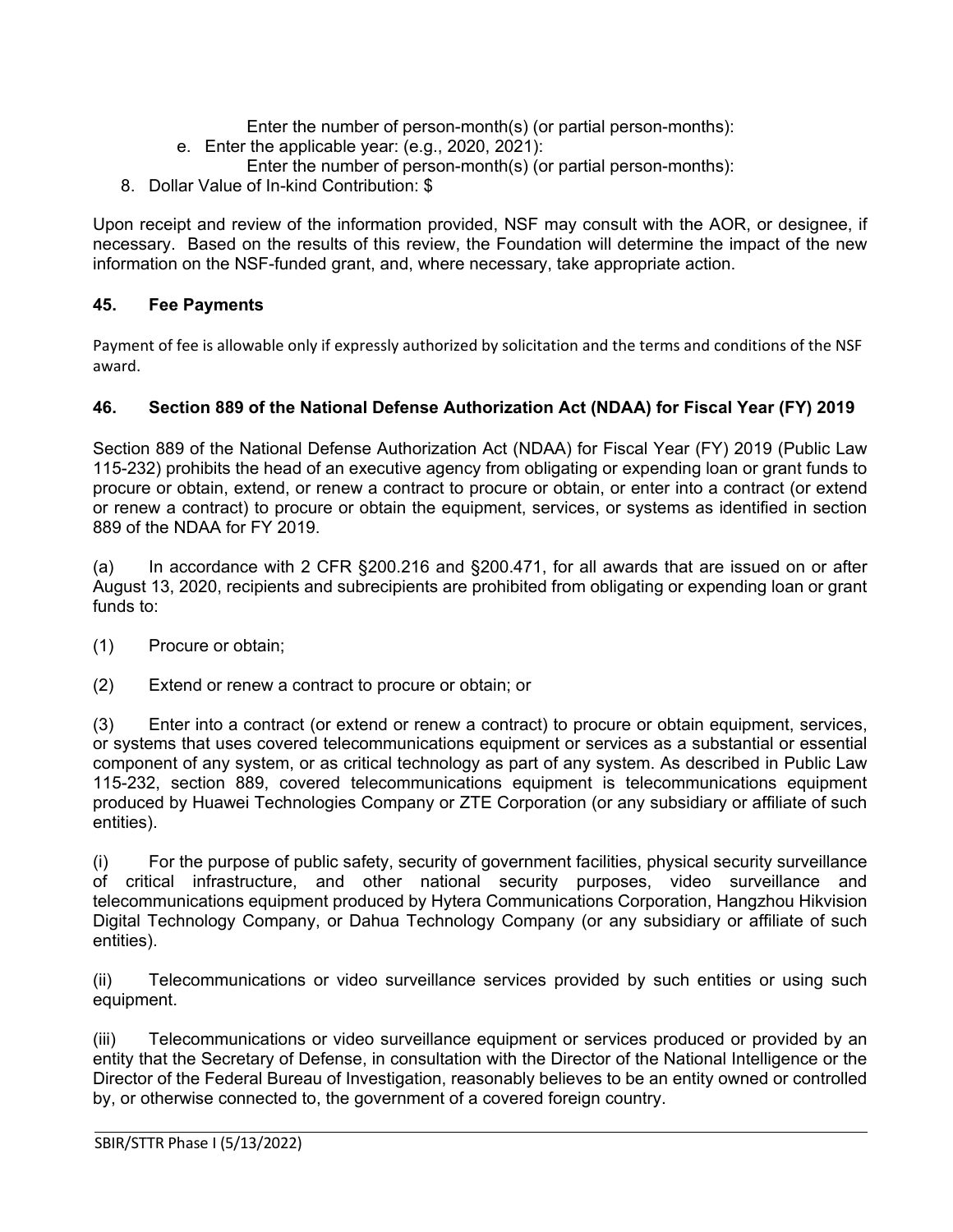Enter the number of person-month(s) (or partial person-months):

- e. Enter the applicable year: (e.g., 2020, 2021):
	- Enter the number of person-month(s) (or partial person-months):
- 8. Dollar Value of In-kind Contribution: \$

Upon receipt and review of the information provided, NSF may consult with the AOR, or designee, if necessary. Based on the results of this review, the Foundation will determine the impact of the new information on the NSF-funded grant, and, where necessary, take appropriate action.

# <span id="page-28-0"></span>**45. Fee Payments**

Payment of fee is allowable only if expressly authorized by solicitation and the terms and conditions of the NSF award.

# <span id="page-28-1"></span>**46. Section 889 of the National Defense Authorization Act (NDAA) for Fiscal Year (FY) 2019**

Section 889 of the National Defense Authorization Act (NDAA) for Fiscal Year (FY) 2019 (Public Law 115-232) prohibits the head of an executive agency from obligating or expending loan or grant funds to procure or obtain, extend, or renew a contract to procure or obtain, or enter into a contract (or extend or renew a contract) to procure or obtain the equipment, services, or systems as identified in section 889 of the NDAA for FY 2019.

(a) In accordance with 2 CFR §200.216 and §200.471, for all awards that are issued on or after August 13, 2020, recipients and subrecipients are prohibited from obligating or expending loan or grant funds to:

- (1) Procure or obtain;
- (2) Extend or renew a contract to procure or obtain; or

(3) Enter into a contract (or extend or renew a contract) to procure or obtain equipment, services, or systems that uses covered telecommunications equipment or services as a substantial or essential component of any system, or as critical technology as part of any system. As described in Public Law 115-232, section 889, covered telecommunications equipment is telecommunications equipment produced by Huawei Technologies Company or ZTE Corporation (or any subsidiary or affiliate of such entities).

(i) For the purpose of public safety, security of government facilities, physical security surveillance of critical infrastructure, and other national security purposes, video surveillance and telecommunications equipment produced by Hytera Communications Corporation, Hangzhou Hikvision Digital Technology Company, or Dahua Technology Company (or any subsidiary or affiliate of such entities).

(ii) Telecommunications or video surveillance services provided by such entities or using such equipment.

(iii) Telecommunications or video surveillance equipment or services produced or provided by an entity that the Secretary of Defense, in consultation with the Director of the National Intelligence or the Director of the Federal Bureau of Investigation, reasonably believes to be an entity owned or controlled by, or otherwise connected to, the government of a covered foreign country.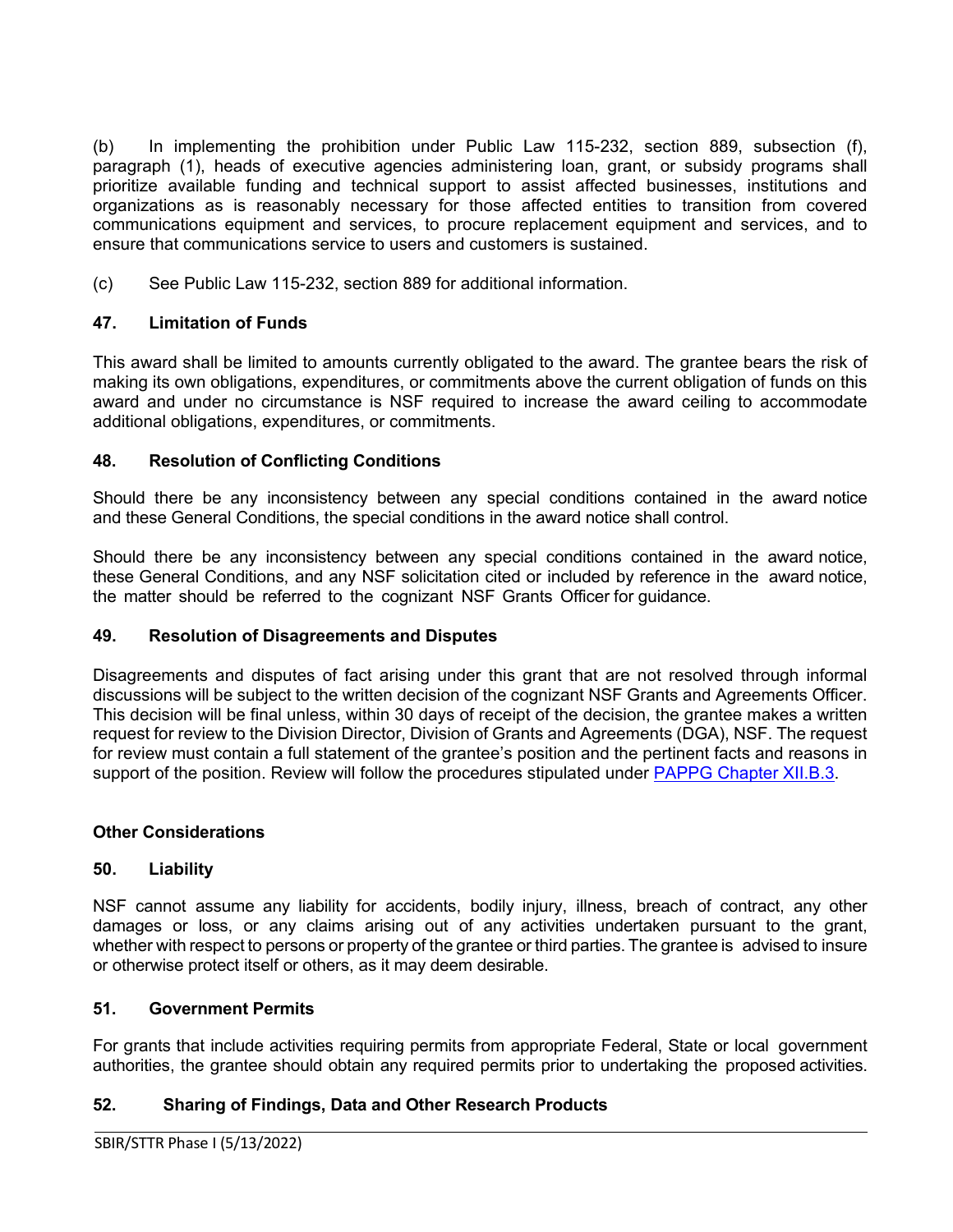(b) In implementing the prohibition under Public Law 115-232, section 889, subsection (f), paragraph (1), heads of executive agencies administering loan, grant, or subsidy programs shall prioritize available funding and technical support to assist affected businesses, institutions and organizations as is reasonably necessary for those affected entities to transition from covered communications equipment and services, to procure replacement equipment and services, and to ensure that communications service to users and customers is sustained.

(c) See Public Law 115-232, section 889 for additional information.

# <span id="page-29-0"></span>**47. Limitation of Funds**

This award shall be limited to amounts currently obligated to the award. The grantee bears the risk of making its own obligations, expenditures, or commitments above the current obligation of funds on this award and under no circumstance is NSF required to increase the award ceiling to accommodate additional obligations, expenditures, or commitments.

# <span id="page-29-1"></span>**48. Resolution of Conflicting Conditions**

Should there be any inconsistency between any special conditions contained in the award notice and these General Conditions, the special conditions in the award notice shall control.

Should there be any inconsistency between any special conditions contained in the award notice, these General Conditions, and any NSF solicitation cited or included by reference in the award notice, the matter should be referred to the cognizant NSF Grants Officer for guidance.

### <span id="page-29-2"></span>**49. Resolution of Disagreements and Disputes**

Disagreements and disputes of fact arising under this grant that are not resolved through informal discussions will be subject to the written decision of the cognizant NSF Grants and Agreements Officer. This decision will be final unless, within 30 days of receipt of the decision, the grantee makes a written request for review to the Division Director, Division of Grants and Agreements (DGA), NSF. The request for review must contain a full statement of the grantee's position and the pertinent facts and reasons in support of the position. Review will follow the procedures stipulated under [PAPPG Chapter XII.B.3.](https://www.nsf.gov/pubs/policydocs/pappg22_1/pappg_12.jsp#XIIB)

### <span id="page-29-3"></span>**Other Considerations**

### <span id="page-29-4"></span>**50. Liability**

NSF cannot assume any liability for accidents, bodily injury, illness, breach of contract, any other damages or loss, or any claims arising out of any activities undertaken pursuant to the grant, whether with respect to persons or property of the grantee or third parties. The grantee is advised to insure or otherwise protect itself or others, as it may deem desirable.

### <span id="page-29-5"></span>**51. Government Permits**

For grants that include activities requiring permits from appropriate Federal, State or local government authorities, the grantee should obtain any required permits prior to undertaking the proposed activities.

### <span id="page-29-6"></span>**52. Sharing of Findings, Data and Other Research Products**